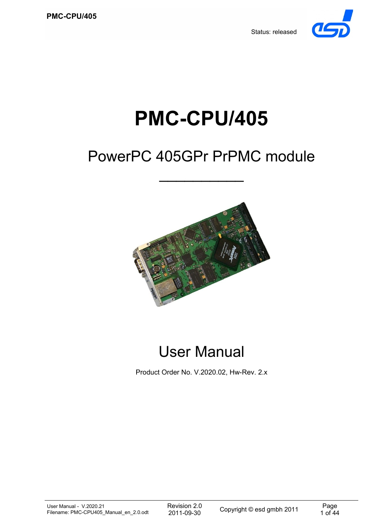Status: released



# **PMC-CPU/405**

# PowerPC 405GPr PrPMC module

 $\frac{1}{2}$ 



User Manual

Product Order No. V.2020.02, Hw-Rev. 2.x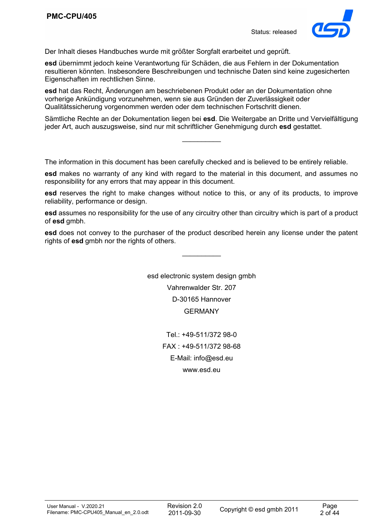

Der Inhalt dieses Handbuches wurde mit größter Sorgfalt erarbeitet und geprüft.

**esd** übernimmt jedoch keine Verantwortung für Schäden, die aus Fehlern in der Dokumentation resultieren könnten. Insbesondere Beschreibungen und technische Daten sind keine zugesicherten Eigenschaften im rechtlichen Sinne.

**esd** hat das Recht, Änderungen am beschriebenen Produkt oder an der Dokumentation ohne vorherige Ankündigung vorzunehmen, wenn sie aus Gründen der Zuverlässigkeit oder Qualitätssicherung vorgenommen werden oder dem technischen Fortschritt dienen.

Sämtliche Rechte an der Dokumentation liegen bei **esd**. Die Weitergabe an Dritte und Vervielfältigung jeder Art, auch auszugsweise, sind nur mit schriftlicher Genehmigung durch **esd** gestattet.

 $\mathcal{L}_\text{max}$ 

The information in this document has been carefully checked and is believed to be entirely reliable.

**esd** makes no warranty of any kind with regard to the material in this document, and assumes no responsibility for any errors that may appear in this document.

**esd** reserves the right to make changes without notice to this, or any of its products, to improve reliability, performance or design.

**esd** assumes no responsibility for the use of any circuitry other than circuitry which is part of a product of **esd** gmbh.

**esd** does not convey to the purchaser of the product described herein any license under the patent rights of **esd** ambh nor the rights of others.

 $\mathcal{L}_\text{max}$ 

esd electronic system design gmbh Vahrenwalder Str. 207 D-30165 Hannover GERMANY

> Tel.: +49-511/372 98-0 FAX : +49-511/372 98-68 E-Mail: info@esd.eu www.esd.eu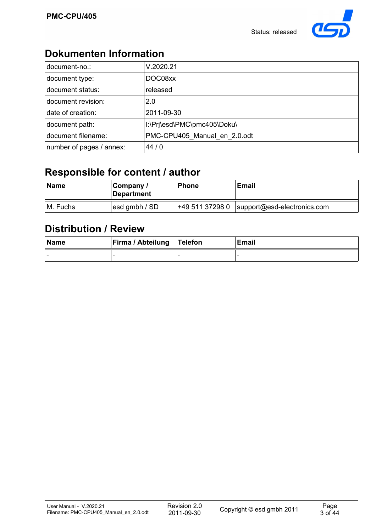

## **Dokumenten Information**

| document-no.:            | V.2020.21                    |
|--------------------------|------------------------------|
| document type:           | DOC08xx                      |
| document status:         | released                     |
| document revision:       | 2.0                          |
| date of creation:        | 2011-09-30                   |
| document path:           | I:\Pri\esd\PMC\pmc405\Doku\  |
| document filename:       | PMC-CPU405_Manual_en_2.0.odt |
| number of pages / annex: | 44/0                         |

## **Responsible for content / author**

| <b>Name</b> | Company /<br>Department | <b>Phone</b>    | Email                       |
|-------------|-------------------------|-----------------|-----------------------------|
| M. Fuchs    | esd gmbh / SD           | +49 511 37298 0 | support@esd-electronics.com |

## **Distribution / Review**

| Name | <b>Firma / Abteilung   Telefon</b> | <b>Email</b> |
|------|------------------------------------|--------------|
| . .  |                                    |              |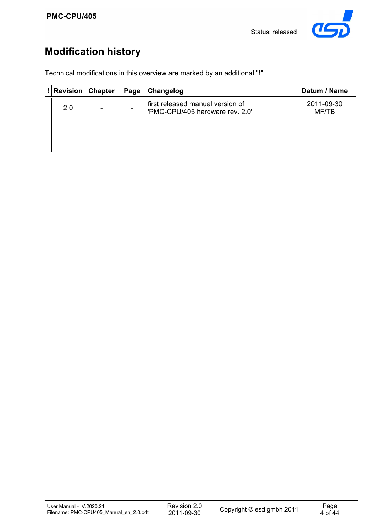

## **Modification history**

Technical modifications in this overview are marked by an additional "**!**".

| <b>Revision</b> Chapter | Page | <b>Changelog</b>                                                    | Datum / Name        |
|-------------------------|------|---------------------------------------------------------------------|---------------------|
| 2.0                     |      | first released manual version of<br>'PMC-CPU/405 hardware rev. 2.0' | 2011-09-30<br>MF/TB |
|                         |      |                                                                     |                     |
|                         |      |                                                                     |                     |
|                         |      |                                                                     |                     |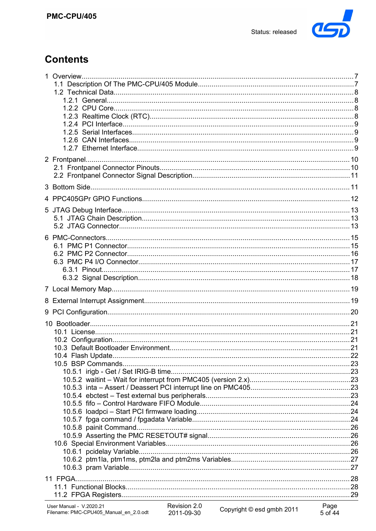

## **Contents**

| 11 FPGA |  |
|---------|--|
|         |  |
|         |  |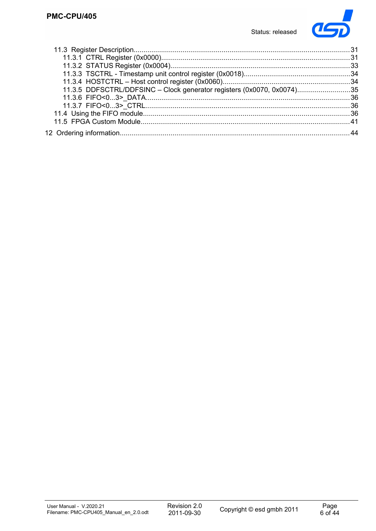

| 11.3.5 DDFSCTRL/DDFSINC - Clock generator registers (0x0070, 0x0074)35 |  |
|------------------------------------------------------------------------|--|
|                                                                        |  |
|                                                                        |  |
|                                                                        |  |
|                                                                        |  |
|                                                                        |  |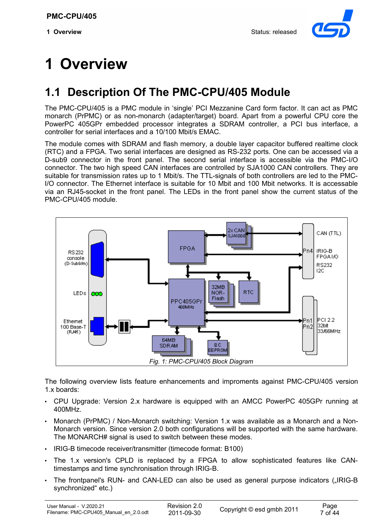

# **1 Overview**

## **1.1 Description Of The PMC-CPU/405 Module**

The PMC-CPU/405 is a PMC module in 'single' PCI Mezzanine Card form factor. It can act as PMC monarch (PrPMC) or as non-monarch (adapter/target) board. Apart from a powerful CPU core the PowerPC 405GPr embedded processor integrates a SDRAM controller, a PCI bus interface, a controller for serial interfaces and a 10/100 Mbit/s EMAC.

The module comes with SDRAM and flash memory, a double layer capacitor buffered realtime clock (RTC) and a FPGA. Two serial interfaces are designed as RS-232 ports. One can be accessed via a D-sub9 connector in the front panel. The second serial interface is accessible via the PMC-I/O connector. The two high speed CAN interfaces are controlled by SJA1000 CAN controllers. They are suitable for transmission rates up to 1 Mbit/s. The TTL-signals of both controllers are led to the PMC-I/O connector. The Ethernet interface is suitable for 10 Mbit and 100 Mbit networks. It is accessable via an RJ45-socket in the front panel. The LEDs in the front panel show the current status of the PMC-CPU/405 module.



The following overview lists feature enhancements and improments against PMC-CPU/405 version 1.x boards:

- CPU Upgrade: Version 2.x hardware is equipped with an AMCC PowerPC 405GPr running at 400MHz.
- Monarch (PrPMC) / Non-Monarch switching: Version 1.x was available as a Monarch and a Non-Monarch version. Since version 2.0 both configurations will be supported with the same hardware. The MONARCH# signal is used to switch between these modes.
- IRIG-B timecode receiver/transmitter (timecode format: B100)
- The 1.x version's CPLD is replaced by a FPGA to allow sophisticated features like CANtimestamps and time synchronisation through IRIG-B.
- The frontpanel's RUN- and CAN-LED can also be used as general purpose indicators ("IRIG-B synchronized" etc.)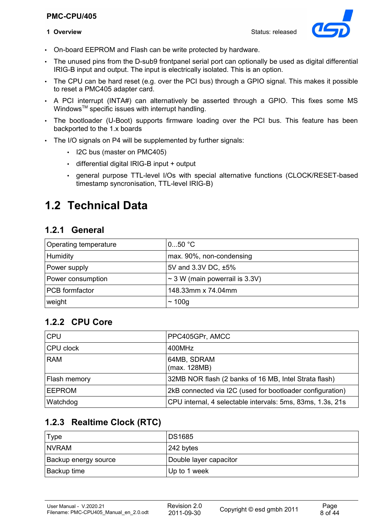#### **PMC-CPU/405**



- On-board EEPROM and Flash can be write protected by hardware.
- The unused pins from the D-sub9 frontpanel serial port can optionally be used as digital differential IRIG-B input and output. The input is electrically isolated. This is an option.
- The CPU can be hard reset (e.g. over the PCI bus) through a GPIO signal. This makes it possible to reset a PMC405 adapter card.
- A PCI interrupt (INTA#) can alternatively be asserted through a GPIO. This fixes some MS Windows<sup>™</sup> specific issues with interrupt handling.
- The bootloader (U-Boot) supports firmware loading over the PCI bus. This feature has been backported to the 1.x boards
- The I/O signals on P4 will be supplemented by further signals:
	- I2C bus (master on PMC405)
	- differential digital IRIG-B input + output
	- general purpose TTL-level I/Os with special alternative functions (CLOCK/RESET-based timestamp syncronisation, TTL-level IRIG-B)

## **1.2 Technical Data**

#### **1.2.1 General**

| Operating temperature | 050 °C                              |
|-----------------------|-------------------------------------|
| Humidity              | max. 90%, non-condensing            |
| Power supply          | 5V and 3.3V DC, ±5%                 |
| Power consumption     | $\sim$ 3 W (main powerrail is 3.3V) |
| <b>PCB</b> formfactor | 148.33mm x 74.04mm                  |
| weight                | $\sim$ 100g                         |

### **1.2.2 CPU Core**

| <b>CPU</b>    | PPC405GPr, AMCC                                            |
|---------------|------------------------------------------------------------|
| CPU clock     | 400MHz                                                     |
| <b>RAM</b>    | 64MB, SDRAM<br>(max. 128MB)                                |
| Flash memory  | 32MB NOR flash (2 banks of 16 MB, Intel Strata flash)      |
| <b>EEPROM</b> | 2kB connected via I2C (used for bootloader configuration)  |
| Watchdog      | CPU internal, 4 selectable intervals: 5ms, 83ms, 1.3s, 21s |

## **1.2.3 Realtime Clock (RTC)**

| Type                 | <b>DS1685</b>          |
|----------------------|------------------------|
| <b>NVRAM</b>         | $ 242$ bytes           |
| Backup energy source | Double layer capacitor |
| l Backup time        | Up to 1 week           |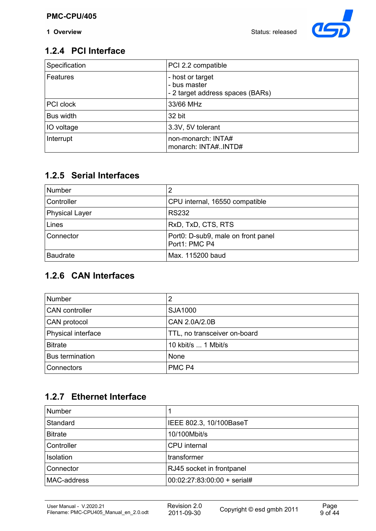**1 Overview** Status: released



## **1.2.4 PCI Interface**

| Specification   | PCI 2.2 compatible                                                   |
|-----------------|----------------------------------------------------------------------|
| <b>Features</b> | - host or target<br>- bus master<br>- 2 target address spaces (BARs) |
| PCI clock       | 33/66 MHz                                                            |
| Bus width       | 32 bit                                                               |
| IO voltage      | 3.3V, 5V tolerant                                                    |
| Interrupt       | non-monarch: INTA#<br>monarch: INTA#INTD#                            |

## **1.2.5 Serial Interfaces**

| <b>Number</b>         |                                                     |
|-----------------------|-----------------------------------------------------|
| Controller            | CPU internal, 16550 compatible                      |
| <b>Physical Layer</b> | <b>RS232</b>                                        |
| Lines                 | RxD, TxD, CTS, RTS                                  |
| Connector             | Port0: D-sub9, male on front panel<br>Port1: PMC P4 |
| <b>Baudrate</b>       | Max. 115200 baud                                    |

## **1.2.6 CAN Interfaces**

| <b>Number</b>          |                              |
|------------------------|------------------------------|
| <b>CAN</b> controller  | SJA1000                      |
| CAN protocol           | CAN 2.0A/2.0B                |
| Physical interface     | TTL, no transceiver on-board |
| <b>Bitrate</b>         | 10 kbit/s  1 Mbit/s          |
| <b>Bus termination</b> | None                         |
| Connectors             | PMC <sub>P4</sub>            |

## **1.2.7 Ethernet Interface**

| <b>Number</b>     |                             |
|-------------------|-----------------------------|
| Standard          | IEEE 802.3, 10/100BaseT     |
| <b>Bitrate</b>    | 10/100Mbit/s                |
| <b>Controller</b> | CPU internal                |
| <b>Isolation</b>  | transformer                 |
| Connector         | RJ45 socket in frontpanel   |
| MAC-address       | 00:02:27:83:00:00 + serial# |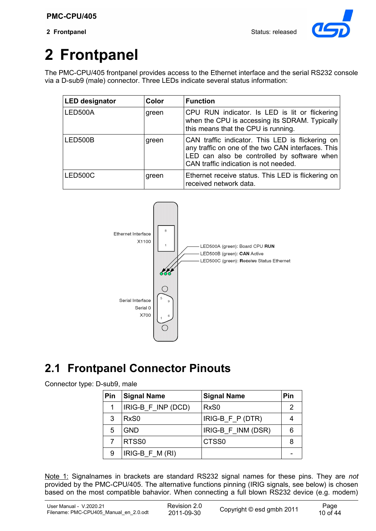

# **2 Frontpanel**

The PMC-CPU/405 frontpanel provides access to the Ethernet interface and the serial RS232 console via a D-sub9 (male) connector. Three LEDs indicate several status information:

| <b>LED designator</b> | Color | <b>Function</b>                                                                                                                                                                                |
|-----------------------|-------|------------------------------------------------------------------------------------------------------------------------------------------------------------------------------------------------|
| LED500A               | green | CPU RUN indicator. Is LED is lit or flickering<br>when the CPU is accessing its SDRAM. Typically<br>this means that the CPU is running.                                                        |
| LED500B               | green | CAN traffic indicator. This LED is flickering on<br>any traffic on one of the two CAN interfaces. This<br>LED can also be controlled by software when<br>CAN traffic indication is not needed. |
| LED500C               | green | Ethernet receive status. This LED is flickering on<br>received network data.                                                                                                                   |



## **2.1 Frontpanel Connector Pinouts**

#### Connector type: D-sub9, male

| Pin | <b>Signal Name</b> | <b>Signal Name</b> | Pin |
|-----|--------------------|--------------------|-----|
| 1   | IRIG-B_F_INP (DCD) | RxS <sub>0</sub>   |     |
| 3   | RxS <sub>0</sub>   | $IRIG-B_F_P(DTR)$  |     |
| 5   | <b>GND</b>         | IRIG-B F INM (DSR) |     |
|     | RTSS0              | CTSS <sub>0</sub>  |     |
| 9   | $IRIG-B_F_M(RI)$   |                    |     |

Note 1: Signalnames in brackets are standard RS232 signal names for these pins. They are *not* provided by the PMC-CPU/405. The alternative functions pinning (IRIG signals, see below) is chosen based on the most compatible bahavior. When connecting a full blown RS232 device (e.g. modem)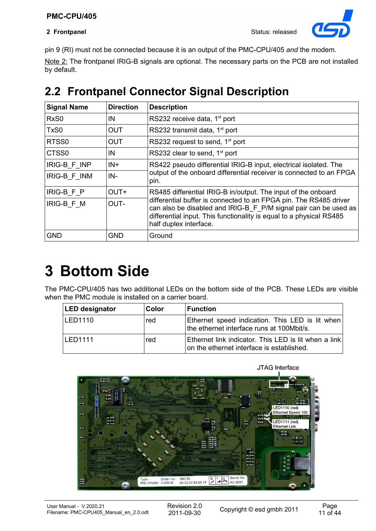

pin 9 (RI) must not be connected because it is an output of the PMC-CPU/405 *and* the modem.

Note 2: The frontpanel IRIG-B signals are optional. The necessary parts on the PCB are not installed by default.

## **2.2 Frontpanel Connector Signal Description**

| <b>Signal Name</b> | <b>Direction</b> | <b>Description</b>                                                                                                                                                                                                                     |
|--------------------|------------------|----------------------------------------------------------------------------------------------------------------------------------------------------------------------------------------------------------------------------------------|
| RxS <sub>0</sub>   | IN               | RS232 receive data, 1 <sup>st</sup> port                                                                                                                                                                                               |
| TxS0               | <b>OUT</b>       | RS232 transmit data, 1 <sup>st</sup> port                                                                                                                                                                                              |
| RTSS0              | <b>OUT</b>       | RS232 request to send, 1 <sup>st</sup> port                                                                                                                                                                                            |
| CTSS0              | IN               | RS232 clear to send, 1 <sup>st</sup> port                                                                                                                                                                                              |
| IRIG-B F INP       | $IN +$           | RS422 pseudo differential IRIG-B input, electrical isolated. The                                                                                                                                                                       |
| IRIG-B F INM       | $IN -$           | output of the onboard differential receiver is connected to an FPGA<br>pin.                                                                                                                                                            |
| IRIG-B_F_P         | OUT+             | RS485 differential IRIG-B in/output. The input of the onboard                                                                                                                                                                          |
| IRIG-B F M         | OUT-             | differential buffer is connected to an FPGA pin. The RS485 driver<br>can also be disabled and IRIG-B_F_P/M signal pair can be used as<br>differential input. This functionality is equal to a physical RS485<br>half duplex interface. |
| <b>GND</b>         | <b>GND</b>       | Ground                                                                                                                                                                                                                                 |

# **3 Bottom Side**

The PMC-CPU/405 has two additional LEDs on the bottom side of the PCB. These LEDs are visible when the PMC module is installed on a carrier board.

| <b>LED designator</b> | Color | <b>Function</b>                                                                                   |
|-----------------------|-------|---------------------------------------------------------------------------------------------------|
| <b>ILED1110</b>       | red   | Ethernet speed indication. This LED is lit when<br>the ethernet interface runs at 100Mbit/s.      |
| LED1111               | red   | Ethernet link indicator. This LED is lit when a link<br>on the ethernet interface is established. |



JTAG Interface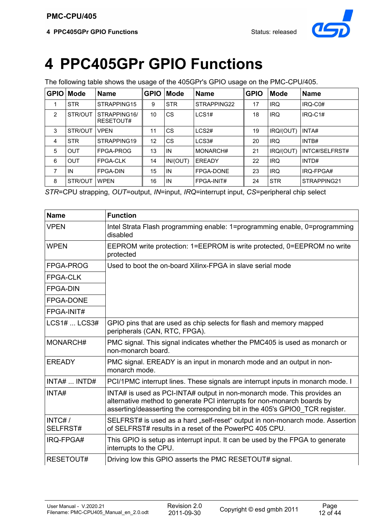

# **4 PPC405GPr GPIO Functions**

The following table shows the usage of the 405GPr's GPIO usage on the PMC-CPU/405.

| <b>GPIO</b>    | <b>Mode</b> | <b>Name</b>               | <b>GPIO</b> | <b>Mode</b> | <b>Name</b>   | <b>GPIO</b> | <b>Mode</b> | <b>Name</b>    |
|----------------|-------------|---------------------------|-------------|-------------|---------------|-------------|-------------|----------------|
| 1              | <b>STR</b>  | STRAPPING15               | 9           | <b>STR</b>  | STRAPPING22   | 17          | <b>IRQ</b>  | IRQ-C0#        |
| 2              | STR/OUT     | STRAPPING16/<br>RESETOUT# | 10          | CS          | LCS1#         | 18          | <b>IRQ</b>  | $IRQ-C1#$      |
| 3              | STR/OUT     | <b>VPEN</b>               | 11          | CS          | LCS2#         | 19          | IRQ/(OUT)   | INTA#          |
| $\overline{4}$ | <b>STR</b>  | STRAPPING19               | 12          | CS          | LCS3#         | 20          | <b>IRQ</b>  | INTB#          |
| 5              | <b>OUT</b>  | FPGA-PROG                 | 13          | IN          | MONARCH#      | 21          | IRQ/(OUT)   | INTC#/SELFRST# |
| 6              | <b>OUT</b>  | <b>FPGA-CLK</b>           | 14          | IN/(OUT)    | <b>EREADY</b> | 22          | <b>IRQ</b>  | INTD#          |
| 7              | IN          | <b>FPGA-DIN</b>           | 15          | IN          | FPGA-DONE     | 23          | <b>IRQ</b>  | IRQ-FPGA#      |
| 8              | STR/OUT     | <b>WPEN</b>               | 16          | IN          | FPGA-INIT#    | 24          | <b>STR</b>  | STRAPPING21    |

*STR*=CPU strapping, *OUT*=output, *IN*=input, *IRQ*=interrupt input, *CS*=peripheral chip select

| <b>Name</b>        | <b>Function</b>                                                                                                                                                                                                                    |
|--------------------|------------------------------------------------------------------------------------------------------------------------------------------------------------------------------------------------------------------------------------|
| <b>VPEN</b>        | Intel Strata Flash programming enable: 1=programming enable, 0=programming<br>disabled                                                                                                                                             |
| <b>WPEN</b>        | EEPROM write protection: 1=EEPROM is write protected, 0=EEPROM no write<br>protected                                                                                                                                               |
| FPGA-PROG          | Used to boot the on-board Xilinx-FPGA in slave serial mode                                                                                                                                                                         |
| <b>FPGA-CLK</b>    |                                                                                                                                                                                                                                    |
| <b>FPGA-DIN</b>    |                                                                                                                                                                                                                                    |
| <b>FPGA-DONE</b>   |                                                                                                                                                                                                                                    |
| FPGA-INIT#         |                                                                                                                                                                                                                                    |
| $LCS1#$ $LCS3#$    | GPIO pins that are used as chip selects for flash and memory mapped<br>peripherals (CAN, RTC, FPGA).                                                                                                                               |
| MONARCH#           | PMC signal. This signal indicates whether the PMC405 is used as monarch or<br>non-monarch board.                                                                                                                                   |
| <b>EREADY</b>      | PMC signal. EREADY is an input in monarch mode and an output in non-<br>monarch mode.                                                                                                                                              |
| INTA#  INTD#       | PCI/1PMC interrupt lines. These signals are interrupt inputs in monarch mode. I                                                                                                                                                    |
| INTA#              | INTA# is used as PCI-INTA# output in non-monarch mode. This provides an<br>alternative method to generate PCI interrupts for non-monarch boards by<br>asserting/deasserting the corresponding bit in the 405's GPIO0_TCR register. |
| INTC#/<br>SELFRST# | SELFRST# is used as a hard "self-reset" output in non-monarch mode. Assertion<br>of SELFRST# results in a reset of the PowerPC 405 CPU.                                                                                            |
| IRQ-FPGA#          | This GPIO is setup as interrupt input. It can be used by the FPGA to generate<br>interrupts to the CPU.                                                                                                                            |
| RESETOUT#          | Driving low this GPIO asserts the PMC RESETOUT# signal.                                                                                                                                                                            |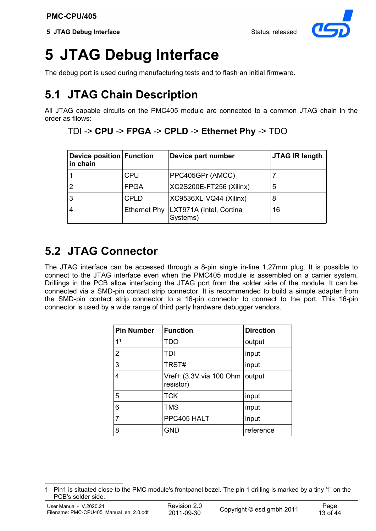

# **5 JTAG Debug Interface**

The debug port is used during manufacturing tests and to flash an initial firmware.

## **5.1 JTAG Chain Description**

All JTAG capable circuits on the PMC405 module are connected to a common JTAG chain in the order as fllows:

#### TDI -> **CPU** -> **FPGA** -> **CPLD** -> **Ethernet Phy** -> TDO

| Device position Function<br>in chain |             | Device part number                                 | <b>JTAG IR length</b> |
|--------------------------------------|-------------|----------------------------------------------------|-----------------------|
|                                      | <b>CPU</b>  | PPC405GPr (AMCC)                                   |                       |
| 2                                    | <b>FPGA</b> | XC2S200E-FT256 (Xilinx)                            | 5                     |
| 3                                    | <b>CPLD</b> | XC9536XL-VQ44 (Xilinx)                             | 8                     |
| 4                                    |             | Ethernet Phy   LXT971A (Intel, Cortina<br>Systems) | 16                    |

## **5.2 JTAG Connector**

The JTAG interface can be accessed through a 8-pin single in-line 1,27mm plug. It is possible to connect to the JTAG interface even when the PMC405 module is assembled on a carrier system. Drillings in the PCB allow interfacing the JTAG port from the solder side of the module. It can be connected via a SMD-pin contact strip connector. It is recommended to build a simple adapter from the SMD-pin contact strip connector to a 16-pin connector to connect to the port. This 16-pin connector is used by a wide range of third party hardware debugger vendors.

| <b>Pin Number</b> | <b>Function</b>                      | <b>Direction</b> |
|-------------------|--------------------------------------|------------------|
| 1 <sup>1</sup>    | <b>TDO</b>                           | output           |
| $\overline{2}$    | TDI                                  | input            |
| 3                 | TRST#                                | input            |
| 4                 | Vref+ (3.3V via 100 Ohm<br>resistor) | output           |
| 5                 | <b>TCK</b>                           | input            |
| 6                 | <b>TMS</b>                           | input            |
| 7                 | PPC405 HALT                          | input            |
| 8                 | <b>GND</b>                           | reference        |

<span id="page-12-0"></span><sup>1</sup> Pin1 is situated close to the PMC module's frontpanel bezel. The pin 1 drilling is marked by a tiny '1' on the PCB's solder side.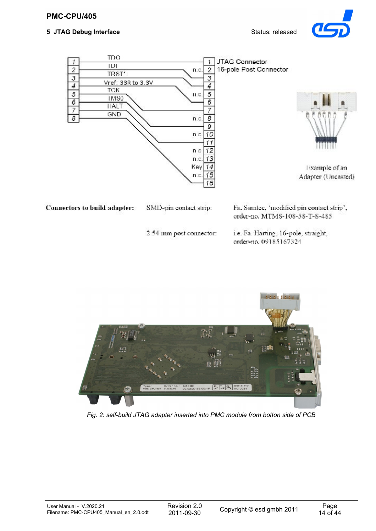#### **5 JTAG Debug Interface** Status: released







Example of an Adapter (Uncasted)

Connectors to build adapter:

SMD-pin contact strip:

Fa. Samtee, 'modified pin contact strip', order-no. MTMS-108-58-T-S-485

2.54 mm post connector:

i.e. Fa. Harting, 16-pole, straight, order-no. 09185167324



*Fig. 2: self-build JTAG adapter inserted into PMC module from botton side of PCB*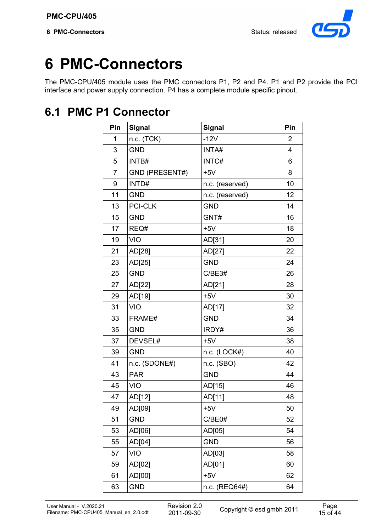

# **PMC-Connectors**

The PMC-CPU/405 module uses the PMC connectors P1, P2 and P4. P1 and P2 provide the PCI interface and power supply connection. P4 has a complete module specific pinout.

## **6.1 PMC P1 Connector**

| Pin            | <b>Signal</b>         | <b>Signal</b>   | Pin |
|----------------|-----------------------|-----------------|-----|
| 1              | n.c. (TCK)            | $-12V$          | 2   |
| 3              | <b>GND</b>            | INTA#           | 4   |
| 5              | INTB#                 | INTC#           | 6   |
| $\overline{7}$ | <b>GND (PRESENT#)</b> | $+5V$           | 8   |
| 9              | INTD#                 | n.c. (reserved) | 10  |
| 11             | <b>GND</b>            | n.c. (reserved) | 12  |
| 13             | <b>PCI-CLK</b>        | <b>GND</b>      | 14  |
| 15             | <b>GND</b>            | GNT#            | 16  |
| 17             | REQ#                  | $+5V$           | 18  |
| 19             | <b>VIO</b>            | AD[31]          | 20  |
| 21             | AD[28]                | AD[27]          | 22  |
| 23             | AD[25]                | <b>GND</b>      | 24  |
| 25             | <b>GND</b>            | C/BE3#          | 26  |
| 27             | AD[22]                | AD[21]          | 28  |
| 29             | AD[19]                | $+5V$           | 30  |
| 31             | <b>VIO</b>            | AD[17]          | 32  |
| 33             | FRAME#                | <b>GND</b>      | 34  |
| 35             | <b>GND</b>            | IRDY#           | 36  |
| 37             | DEVSEL#               | $+5V$           | 38  |
| 39             | <b>GND</b>            | n.c. (LOCK#)    | 40  |
| 41             | n.c. (SDONE#)         | n.c. (SBO)      | 42  |
| 43             | <b>PAR</b>            | <b>GND</b>      | 44  |
| 45             | <b>VIO</b>            | AD[15]          | 46  |
| 47             | AD[12]                | AD[11]          | 48  |
| 49             | AD[09]                | $+5V$           | 50  |
| 51             | <b>GND</b>            | C/BE0#          | 52  |
| 53             | AD[06]                | AD[05]          | 54  |
| 55             | AD[04]                | <b>GND</b>      | 56  |
| 57             | <b>VIO</b>            | AD[03]          | 58  |
| 59             | AD[02]                | AD[01]          | 60  |
| 61             | AD[00]                | $+5V$           | 62  |
| 63             | <b>GND</b>            | n.c. (REQ64#)   | 64  |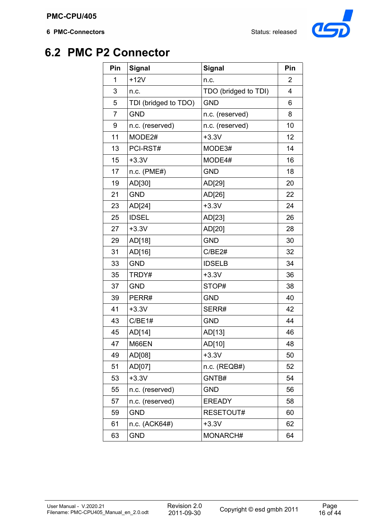

## **6.2 PMC P2 Connector**

| Pin | <b>Signal</b>        | <b>Signal</b>        | Pin |
|-----|----------------------|----------------------|-----|
| 1   | $+12V$               | n.c.                 | 2   |
| 3   | n.c.                 | TDO (bridged to TDI) | 4   |
| 5   | TDI (bridged to TDO) | <b>GND</b>           | 6   |
| 7   | <b>GND</b>           | n.c. (reserved)      | 8   |
| 9   | n.c. (reserved)      | n.c. (reserved)      | 10  |
| 11  | MODE2#               | $+3.3V$              | 12  |
| 13  | PCI-RST#             | MODE3#               | 14  |
| 15  | $+3.3V$              | MODE4#               | 16  |
| 17  | $n.c.$ (PME#)        | <b>GND</b>           | 18  |
| 19  | AD[30]               | AD[29]               | 20  |
| 21  | <b>GND</b>           | AD[26]               | 22  |
| 23  | AD[24]               | $+3.3V$              | 24  |
| 25  | <b>IDSEL</b>         | AD[23]               | 26  |
| 27  | $+3.3V$              | AD[20]               | 28  |
| 29  | AD[18]               | <b>GND</b>           | 30  |
| 31  | AD[16]               | C/BE2#               | 32  |
| 33  | <b>GND</b>           | <b>IDSELB</b>        | 34  |
| 35  | TRDY#                | $+3.3V$              | 36  |
| 37  | <b>GND</b>           | STOP#                | 38  |
| 39  | PERR#                | <b>GND</b>           | 40  |
| 41  | $+3.3V$              | SERR#                | 42  |
| 43  | C/BE1#               | <b>GND</b>           | 44  |
| 45  | AD[14]               | AD[13]               | 46  |
| 47  | M66EN                | AD[10]               | 48  |
| 49  | AD[08]               | $+3.3V$              | 50  |
| 51  | AD[07]               | n.c. (REQB#)         | 52  |
| 53  | $+3.3V$              | GNTB#                | 54  |
| 55  | n.c. (reserved)      | <b>GND</b>           | 56  |
| 57  | n.c. (reserved)      | <b>EREADY</b>        | 58  |
| 59  | <b>GND</b>           | RESETOUT#            | 60  |
| 61  | n.c. (ACK64#)        | $+3.3V$              | 62  |
| 63  | <b>GND</b>           | MONARCH#             | 64  |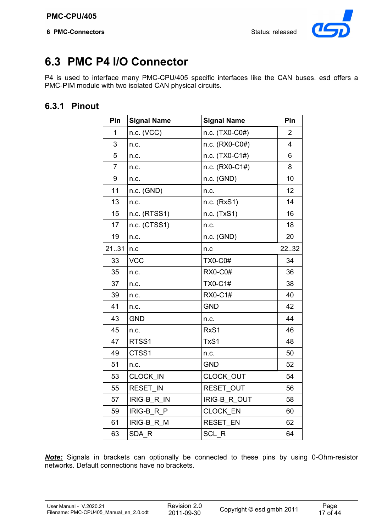

## **6.3 PMC P4 I/O Connector**

P4 is used to interface many PMC-CPU/405 specific interfaces like the CAN buses. esd offers a PMC-PIM module with two isolated CAN physical circuits.

## **6.3.1 Pinout**

| Pin            | <b>Signal Name</b> | <b>Signal Name</b>  | Pin            |
|----------------|--------------------|---------------------|----------------|
| 1              | n.c. (VCC)         | n.c. (TX0-C0#)      | $\overline{2}$ |
| 3              | n.c.               | n.c. (RX0-C0#)      | 4              |
| 5              | n.c.               | n.c. (TX0-C1#)      | 6              |
| $\overline{7}$ | n.c.               | n.c. (RX0-C1#)      | 8              |
| 9              | n.c.               | n.c. (GND)          | 10             |
| 11             | n.c. (GND)         | n.c.                | 12             |
| 13             | n.c.               | n.c. (RxS1)         | 14             |
| 15             | n.c. (RTSS1)       | n.c. (TxS1)         | 16             |
| 17             | n.c. (CTSS1)       | n.c.                | 18             |
| 19             | n.c.               | $n.c.$ (GND)        | 20             |
| 2131           | n.c                | n.c                 | 22.32          |
| 33             | <b>VCC</b>         | <b>TX0-C0#</b>      | 34             |
| 35             | n.c.               | <b>RX0-C0#</b>      | 36             |
| 37             | n.c.               | <b>TX0-C1#</b>      | 38             |
| 39             | n.c.               | <b>RX0-C1#</b>      | 40             |
| 41             | n.c.               | <b>GND</b>          | 42             |
| 43             | <b>GND</b>         | n.c.                | 44             |
| 45             | n.c.               | RxS1                | 46             |
| 47             | RTSS1              | TxS1                | 48             |
| 49             | CTSS1              | n.c.                | 50             |
| 51             | n.c.               | <b>GND</b>          | 52             |
| 53             | <b>CLOCK IN</b>    | CLOCK OUT           | 54             |
| 55             | <b>RESET IN</b>    | RESET OUT           | 56             |
| 57             | IRIG-B_R_IN        | <b>IRIG-B R OUT</b> | 58             |
| 59             | <b>IRIG-B R P</b>  | CLOCK_EN            | 60             |
| 61             | <b>IRIG-B R M</b>  | <b>RESET EN</b>     | 62             |
| 63             | SDA R              | SCL R               | 64             |

*Note:* Signals in brackets can optionally be connected to these pins by using 0-Ohm-resistor networks. Default connections have no brackets.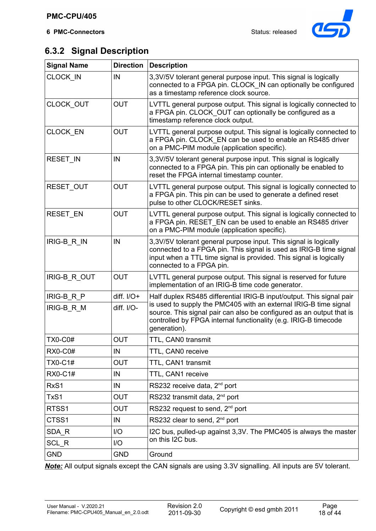

## **6.3.2 Signal Description**

| <b>Signal Name</b> | <b>Direction</b> | <b>Description</b>                                                                                                                                                                                                                       |
|--------------------|------------------|------------------------------------------------------------------------------------------------------------------------------------------------------------------------------------------------------------------------------------------|
| CLOCK_IN           | IN               | 3,3V/5V tolerant general purpose input. This signal is logically<br>connected to a FPGA pin. CLOCK_IN can optionally be configured<br>as a timestamp reference clock source.                                                             |
| CLOCK_OUT          | <b>OUT</b>       | LVTTL general purpose output. This signal is logically connected to<br>a FPGA pin. CLOCK_OUT can optionally be configured as a<br>timestamp reference clock output.                                                                      |
| CLOCK_EN           | <b>OUT</b>       | LVTTL general purpose output. This signal is logically connected to<br>a FPGA pin. CLOCK EN can be used to enable an RS485 driver<br>on a PMC-PIM module (application specific).                                                         |
| RESET_IN           | IN               | 3,3V/5V tolerant general purpose input. This signal is logically<br>connected to a FPGA pin. This pin can optionally be enabled to<br>reset the FPGA internal timestamp counter.                                                         |
| RESET_OUT          | <b>OUT</b>       | LVTTL general purpose output. This signal is logically connected to<br>a FPGA pin. This pin can be used to generate a defined reset<br>pulse to other CLOCK/RESET sinks.                                                                 |
| RESET_EN           | <b>OUT</b>       | LVTTL general purpose output. This signal is logically connected to<br>a FPGA pin. RESET EN can be used to enable an RS485 driver<br>on a PMC-PIM module (application specific).                                                         |
| IRIG-B_R_IN        | IN               | 3,3V/5V tolerant general purpose input. This signal is logically<br>connected to a FPGA pin. This signal is used as IRIG-B time signal<br>input when a TTL time signal is provided. This signal is logically<br>connected to a FPGA pin. |
| IRIG-B_R_OUT       | <b>OUT</b>       | LVTTL general purpose output. This signal is reserved for future<br>implementation of an IRIG-B time code generator.                                                                                                                     |
| IRIG-B_R_P         | diff. $I/O+$     | Half duplex RS485 differential IRIG-B input/output. This signal pair                                                                                                                                                                     |
| IRIG-B_R_M         | diff. I/O-       | is used to supply the PMC405 with an external IRIG-B time signal<br>source. This signal pair can also be configured as an output that is<br>controlled by FPGA internal functionality (e.g. IRIG-B timecode<br>generation).              |
| <b>TX0-C0#</b>     | <b>OUT</b>       | TTL, CAN0 transmit                                                                                                                                                                                                                       |
| <b>RX0-C0#</b>     | IN               | TTL, CAN0 receive                                                                                                                                                                                                                        |
| <b>TX0-C1#</b>     | <b>OUT</b>       | TTL, CAN1 transmit                                                                                                                                                                                                                       |
| <b>RX0-C1#</b>     | IN               | TTL, CAN1 receive                                                                                                                                                                                                                        |
| RxS1               | IN               | RS232 receive data, 2 <sup>nd</sup> port                                                                                                                                                                                                 |
| TxS1               | <b>OUT</b>       | RS232 transmit data, 2 <sup>nd</sup> port                                                                                                                                                                                                |
| RTSS1              | <b>OUT</b>       | RS232 request to send, 2 <sup>nd</sup> port                                                                                                                                                                                              |
| CTSS1              | IN               | RS232 clear to send, 2 <sup>nd</sup> port                                                                                                                                                                                                |
| SDA R              | I/O              | I2C bus, pulled-up against 3,3V. The PMC405 is always the master                                                                                                                                                                         |
| SCL R              | I/O              | on this I2C bus.                                                                                                                                                                                                                         |
| <b>GND</b>         | <b>GND</b>       | Ground                                                                                                                                                                                                                                   |

*Note:* All output signals except the CAN signals are using 3.3V signalling. All inputs are 5V tolerant.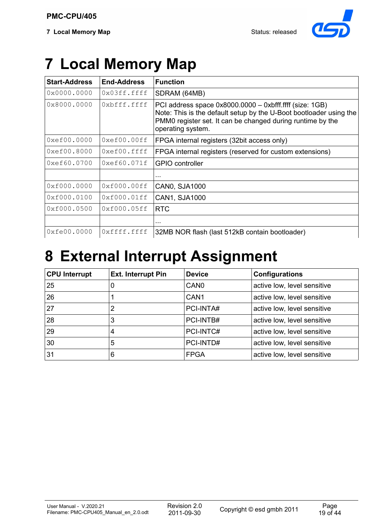

# **7 Local Memory Map**

| <b>Start-Address</b>                 | <b>End-Address</b> | <b>Function</b>                                                                                                                                                                                                  |
|--------------------------------------|--------------------|------------------------------------------------------------------------------------------------------------------------------------------------------------------------------------------------------------------|
| 0x0000.0000                          | 0x03ff.ffff        | SDRAM (64MB)                                                                                                                                                                                                     |
| 0x8000.0000                          | 0xbfff.ffff        | PCI address space 0x8000.0000 - 0xbfff.ffff (size: 1GB)<br>Note: This is the default setup by the U-Boot bootloader using the<br>PMM0 register set. It can be changed during runtime by the<br>operating system. |
| $0x \\e \\f \\0 \\0 \\0 \\0 \\0$     | 0xef00.00ff        | FPGA internal registers (32bit access only)                                                                                                                                                                      |
| $0x \\e \\f \\0 \\0 \\f \\0 \\0 \\0$ | $0xef00.$ ffff     | FPGA internal registers (reserved for custom extensions)                                                                                                                                                         |
| 0xef60.0700                          | 0xef60.071f        | <b>GPIO</b> controller                                                                                                                                                                                           |
|                                      |                    | .                                                                                                                                                                                                                |
| 0xf000.0000                          | 0xf000.00ff        | <b>CANO, SJA1000</b>                                                                                                                                                                                             |
| 0xf000.0100                          | 0xf000.01ff        | CAN1, SJA1000                                                                                                                                                                                                    |
| 0xf000.0500                          | 0xf000.05ff        | <b>RTC</b>                                                                                                                                                                                                       |
|                                      |                    | .                                                                                                                                                                                                                |
| 0xfe00.0000                          | 0xffff.ffff        | 32MB NOR flash (last 512kB contain bootloader)                                                                                                                                                                   |

# **8 External Interrupt Assignment**

| <b>CPU Interrupt</b> | <b>Ext. Interrupt Pin</b> | <b>Device</b>    | Configurations              |
|----------------------|---------------------------|------------------|-----------------------------|
| 25                   | 0                         | CAN <sub>0</sub> | active low, level sensitive |
| 26                   |                           | CAN <sub>1</sub> | active low, level sensitive |
| 27                   | 2                         | PCI-INTA#        | active low, level sensitive |
| 28                   | 3                         | PCI-INTB#        | active low, level sensitive |
| 29                   | 4                         | PCI-INTC#        | active low, level sensitive |
| 30                   | 5                         | PCI-INTD#        | active low, level sensitive |
| 31                   | 6                         | <b>FPGA</b>      | active low, level sensitive |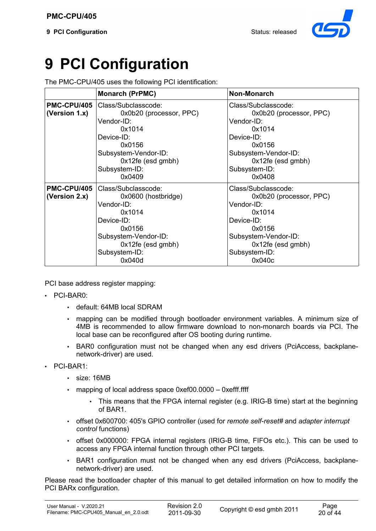

# **9 PCI Configuration**

The PMC-CPU/405 uses the following PCI identification:

|                  | <b>Monarch (PrPMC)</b>  | Non-Monarch             |
|------------------|-------------------------|-------------------------|
| PMC-CPU/405      | Class/Subclasscode:     | Class/Subclasscode:     |
| (Version 1.x)    | 0x0b20 (processor, PPC) | 0x0b20 (processor, PPC) |
|                  | Vendor-ID:              | Vendor-ID:              |
|                  | 0x1014                  | 0x1014                  |
|                  | Device-ID:              | Device-ID:              |
|                  | 0x0156                  | 0x0156                  |
|                  | Subsystem-Vendor-ID:    | Subsystem-Vendor-ID:    |
|                  | $0x12fe$ (esd gmbh)     | 0x12fe (esd gmbh)       |
|                  | Subsystem-ID:           | Subsystem-ID:           |
|                  | 0x0409                  | 0x0408                  |
| PMC-CPU/405      | Class/Subclasscode:     | Class/Subclasscode:     |
| (Version $2.x$ ) | 0x0600 (hostbridge)     | 0x0b20 (processor, PPC) |
|                  | Vendor-ID:              | Vendor-ID:              |
|                  | 0x1014                  | 0x1014                  |
|                  | Device-ID:              | Device-ID:              |
|                  | 0x0156                  | 0x0156                  |
|                  | Subsystem-Vendor-ID:    | Subsystem-Vendor-ID:    |
|                  | $0x12fe$ (esd gmbh)     | 0x12fe (esd gmbh)       |
|                  | Subsystem-ID:           | Subsystem-ID:           |
|                  | 0x040d                  | 0x040c                  |

PCI base address register mapping:

- PCI-BAR0:
	- default: 64MB local SDRAM
	- mapping can be modified through bootloader environment variables. A minimum size of 4MB is recommended to allow firmware download to non-monarch boards via PCI. The local base can be reconfigured after OS booting during runtime.
	- BAR0 configuration must not be changed when any esd drivers (PciAccess, backplanenetwork-driver) are used.
- PCI-BAR1:
	- size: 16MB
	- mapping of local address space 0xef00.0000 0xefff.ffff
		- This means that the FPGA internal register (e.g. IRIG-B time) start at the beginning of BAR1.
	- offset 0x600700: 405's GPIO controller (used for *remote self-reset#* and *adapter interrupt control* functions)
	- offset 0x000000: FPGA internal registers (IRIG-B time, FIFOs etc.). This can be used to access any FPGA internal function through other PCI targets.
	- BAR1 configuration must not be changed when any esd drivers (PciAccess, backplanenetwork-driver) are used.

Please read the bootloader chapter of this manual to get detailed information on how to modify the PCI BARx configuration.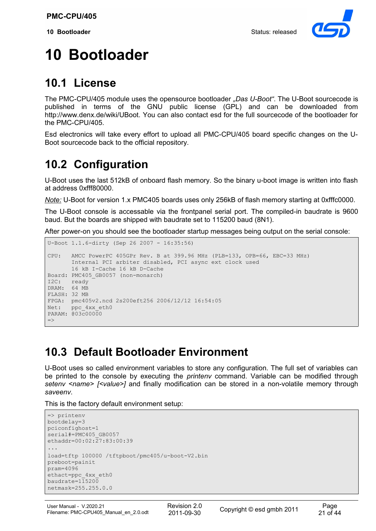

# **10 Bootloader**

## **10.1 License**

The PMC-CPU/405 module uses the opensource bootloader *"Das U-Boot"*. The U-Boot sourcecode is published in terms of the GNU public license (GPL) and can be downloaded from http://www.denx.de/wiki/UBoot. You can also contact esd for the full sourcecode of the bootloader for the PMC-CPU/405.

Esd electronics will take every effort to upload all PMC-CPU/405 board specific changes on the U-Boot sourcecode back to the official repository.

## **10.2 Configuration**

U-Boot uses the last 512kB of onboard flash memory. So the binary u-boot image is written into flash at address 0xfff80000.

*Note:* U-Boot for version 1.x PMC405 boards uses only 256kB of flash memory starting at 0xfffc0000.

The U-Boot console is accessable via the frontpanel serial port. The compiled-in baudrate is 9600 baud. But the boards are shipped with baudrate set to 115200 baud (8N1).

After power-on you should see the bootloader startup messages being output on the serial console:

```
U-Boot 1.1.6-dirty (Sep 26 2007 - 16:35:56)
CPU: AMCC PowerPC 405GPr Rev. B at 399.96 MHz (PLB=133, OPB=66, EBC=33 MHz)
       Internal PCI arbiter disabled, PCI async ext clock used
        16 kB I-Cache 16 kB D-Cache
Board: PMC405_GB0057 (non-monarch)
I2C: ready
DRAM: 64 MB
FLASH: 32 MB
FPGA: pmc405v2.ncd 2s200eft256 2006/12/12 16:54:05
Net: ppc_4xx_eth0
PARAM: 003c00000
\Rightarrow
```
## **10.3 Default Bootloader Environment**

U-Boot uses so called environment variables to store any configuration. The full set of variables can be printed to the console by executing the *printenv* command. Variable can be modified through *setenv <name> [<value>]* and finally modification can be stored in a non-volatile memory through *saveenv*.

This is the factory default environment setup:

```
=> printenv
bootdelay=3
pciconfighost=1
serial#=PMC405_GB0057
ethaddr=00:02:27:83:00:39
...
load=tftp 100000 /tftpboot/pmc405/u-boot-V2.bin
preboot=painit
pram=4096
ethact=ppc_4xx_eth0
baudrate=115200
netmask=255.255.0.0
```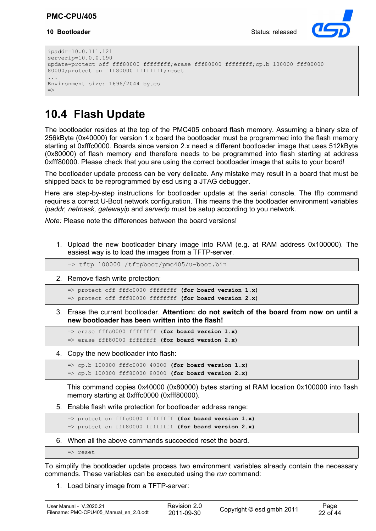#### **10 Bootloader** Status: released



```
ipaddr=10.0.111.121
serverip=10.0.0.190
update=protect off fff80000 ffffffff;erase fff80000 ffffffff;cp.b 100000 fff80000
80000;protect on fff80000 ffffffff;reset
...
Environment size: 1696/2044 bytes
\Rightarrow
```
## **10.4 Flash Update**

The bootloader resides at the top of the PMC405 onboard flash memory. Assuming a binary size of 256kByte (0x40000) for version 1.x board the bootloader must be programmed into the flash memory starting at 0xfffc0000. Boards since version 2.x need a different bootloader image that uses 512kByte (0x80000) of flash memory and therefore needs to be programmed into flash starting at address 0xfff80000. Please check that you are using the correct bootloader image that suits to your board!

The bootloader update process can be very delicate. Any mistake may result in a board that must be shipped back to be reprogrammed by esd using a JTAG debugger.

Here are step-by-step instructions for bootloader update at the serial console. The tftp command requires a correct U-Boot network configuration. This means the the bootloader environment variables *ipaddr, netmask, gatewayip* and *serverip* must be setup according to you network.

*Note:* Please note the differences between the board versions!

1. Upload the new bootloader binary image into RAM (e.g. at RAM address 0x100000). The easiest way is to load the images from a TFTP-server.

=> tftp 100000 /tftpboot/pmc405/u-boot.bin

2. Remove flash write protection:

=> protect off fffc0000 ffffffff **(for board version 1.x)** => protect off fff80000 ffffffff **(for board version 2.x)**

3. Erase the current bootloader. **Attention: do not switch of the board from now on until a new bootloader has been written into the flash!**

=> erase fffc0000 ffffffff (**for board version 1.x)** => erase fff80000 ffffffff **(for board version 2.x)**

4. Copy the new bootloader into flash:

=> cp.b 100000 fffc0000 40000 **(for board version 1.x)** => cp.b 100000 fff80000 80000 **(for board version 2.x)**

This command copies 0x40000 (0x80000) bytes starting at RAM location 0x100000 into flash memory starting at 0xfffc0000 (0xfff80000).

5. Enable flash write protection for bootloader address range:

=> protect on fffc0000 ffffffff **(for board version 1.x)** => protect on fff80000 ffffffff **(for board version 2.x)**

6. When all the above commands succeeded reset the board.

=> reset

To simplify the bootloader update process two environment variables already contain the necessary commands. These variables can be executed using the *run* command:

1. Load binary image from a TFTP-server: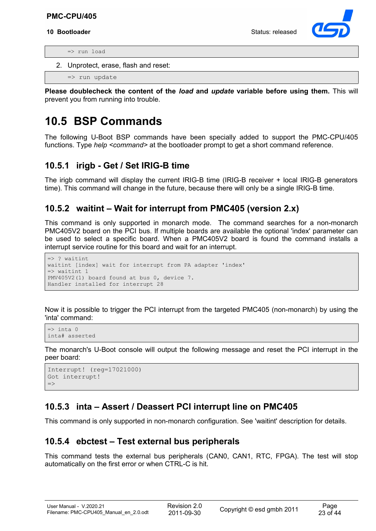#### **PMC-CPU/405**

#### **10 Bootloader** Status: released



=> run load

2. Unprotect, erase, flash and reset:

=> run update

**Please doublecheck the content of the** *load* **and** *update* **variable before using them.** This will prevent you from running into trouble.

## **10.5 BSP Commands**

The following U-Boot BSP commands have been specially added to support the PMC-CPU/405 functions. Type *help* <command> at the bootloader prompt to get a short command reference.

#### **10.5.1 irigb - Get / Set IRIG-B time**

The irigb command will display the current IRIG-B time (IRIG-B receiver + local IRIG-B generators time). This command will change in the future, because there will only be a single IRIG-B time.

#### **10.5.2 waitint – Wait for interrupt from PMC405 (version 2.x)**

This command is only supported in monarch mode. The command searches for a non-monarch PMC405V2 board on the PCI bus. If multiple boards are available the optional 'index' parameter can be used to select a specific board. When a PMC405V2 board is found the command installs a interrupt service routine for this board and wait for an interrupt.

```
=> ? waitint
waitint [index] wait for interrupt from PA adapter 'index'
\Rightarrow waitint 1
PMV405V2(1) board found at bus 0, device 7.
Handler installed for interrupt 28
```
Now it is possible to trigger the PCI interrupt from the targeted PMC405 (non-monarch) by using the 'inta' command:

```
\Rightarrow inta 0
inta# asserted
```
The monarch's U-Boot console will output the following message and reset the PCI interrupt in the peer board:

```
Interrupt! (reg=17021000)
Got interrupt!
\Rightarrow
```
### **10.5.3 inta – Assert / Deassert PCI interrupt line on PMC405**

This command is only supported in non-monarch configuration. See 'waitint' description for details.

### **10.5.4 ebctest – Test external bus peripherals**

This command tests the external bus peripherals (CAN0, CAN1, RTC, FPGA). The test will stop automatically on the first error or when CTRL-C is hit.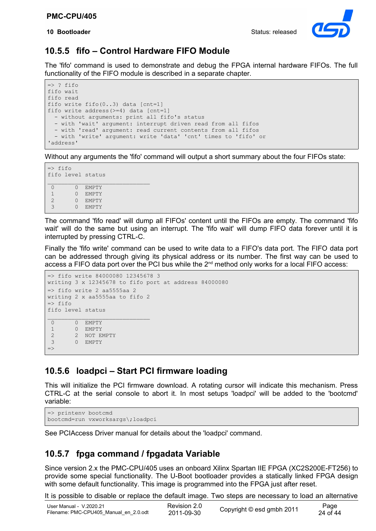**10 Bootloader** Status: released



#### **10.5.5 fifo – Control Hardware FIFO Module**

The 'fifo' command is used to demonstrate and debug the FPGA internal hardware FIFOs. The full functionality of the FIFO module is described in a separate chapter.

```
\Rightarrow ? fifo
fifo wait
fifo read
fifo write fifo(0..3) data [cnt=1]
fifo write address(>=4) data [cnt=1]
   - without arguments: print all fifo's status
   - with 'wait' argument: interrupt driven read from all fifos
   - with 'read' argument: read current contents from all fifos
  - with 'write' argument: write 'data' 'cnt' times to 'fifo' or 
'address'
```
Without any arguments the 'fifo' command will output a short summary about the four FIFOs state:

```
\Rightarrow fifo
fifo level status
0 0 EMPTY
 1 0 EMPTY
 2 0 EMPTY
 3 0 EMPTY
```
The command 'fifo read' will dump all FIFOs' content until the FIFOs are empty. The command 'fifo wait' will do the same but using an interrupt. The 'fifo wait' will dump FIFO data forever until it is interrupted by pressing CTRL-C.

Finally the 'fifo write' command can be used to write data to a FIFO's data port. The FIFO data port can be addressed through giving its physical address or its number. The first way can be used to access a FIFO data port over the PCI bus while the  $2<sup>nd</sup>$  method only works for a local FIFO access:

```
=> fifo write 84000080 12345678 3
writing 3 x 12345678 to fifo port at address 84000080
=> fifo write 2 aa5555aa 2
writing 2 x aa5555aa to fifo 2
\Rightarrow fifo
fifo level status
0 0 EMPTY
 1 0 EMPTY
2 2 NOT EMPTY<br>3 0 EMPTY
        0 EMPTY
\Rightarrow
```
### **10.5.6 loadpci – Start PCI firmware loading**

This will initialize the PCI firmware download. A rotating cursor will indicate this mechanism. Press CTRL-C at the serial console to abort it. In most setups 'loadpci' will be added to the 'bootcmd' variable:

```
=> printenv bootcmd
bootcmd=run vxworksargs\;loadpci
```
See PCIAccess Driver manual for details about the 'loadpci' command.

### **10.5.7 fpga command / fpgadata Variable**

Since version 2.x the PMC-CPU/405 uses an onboard Xilinx Spartan IIE FPGA (XC2S200E-FT256) to provide some special functionality. The U-Boot bootloader provides a statically linked FPGA design with some default functionality. This image is programmed into the FPGA just after reset.

It is possible to disable or replace the default image. Two steps are necessary to load an alternative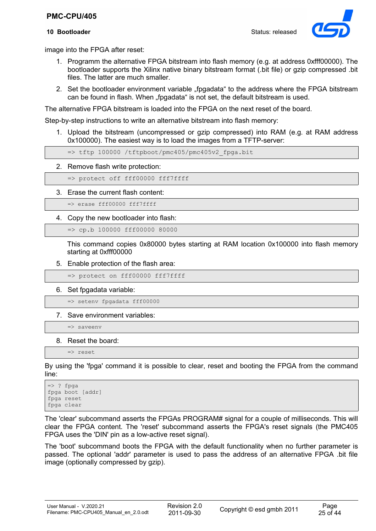#### **PMC-CPU/405**

#### **10 Bootloader** Status: released



image into the FPGA after reset:

- 1. Programm the alternative FPGA bitstream into flash memory (e.g. at address 0xfff00000). The bootloader supports the Xilinx native binary bitstream format (.bit file) or gzip compressed .bit files. The latter are much smaller.
- 2. Set the bootloader environment variable "fpgadata" to the address where the FPGA bitstream can be found in flash. When "fpgadata" is not set, the default bitstream is used.

The alternative FPGA bitstream is loaded into the FPGA on the next reset of the board.

Step-by-step instructions to write an alternative bitstream into flash memory:

1. Upload the bitstream (uncompressed or gzip compressed) into RAM (e.g. at RAM address 0x100000). The easiest way is to load the images from a TFTP-server:

=> tftp 100000 /tftpboot/pmc405/pmc405v2\_fpga.bit

2. Remove flash write protection:

=> protect off fff00000 fff7ffff

3. Erase the current flash content:

=> erase fff00000 fff7ffff

4. Copy the new bootloader into flash:

=> cp.b 100000 fff00000 80000

This command copies 0x80000 bytes starting at RAM location 0x100000 into flash memory starting at 0xfff00000

5. Enable protection of the flash area:

=> protect on fff00000 fff7ffff

6. Set fpgadata variable:

=> setenv fpgadata fff00000

7. Save environment variables:

=> saveenv

8. Reset the board:

=> reset

By using the 'fpga' command it is possible to clear, reset and booting the FPGA from the command line:

 $\Rightarrow$  ? fpga fpga boot [addr] fpga reset fpga clear

The 'clear' subcommand asserts the FPGAs PROGRAM# signal for a couple of milliseconds. This will clear the FPGA content. The 'reset' subcommand asserts the FPGA's reset signals (the PMC405 FPGA uses the 'DIN' pin as a low-active reset signal).

The 'boot' subcommand boots the FPGA with the default functionality when no further parameter is passed. The optional 'addr' parameter is used to pass the address of an alternative FPGA .bit file image (optionally compressed by gzip).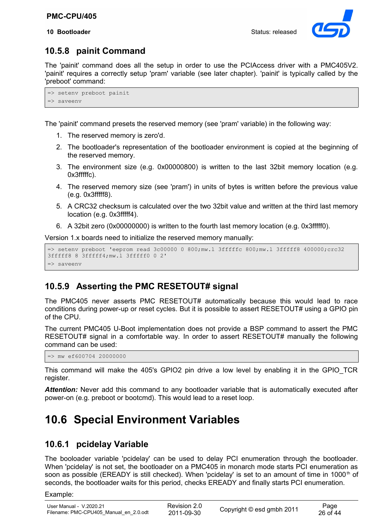

## **10.5.8 painit Command**

The 'painit' command does all the setup in order to use the PCIAccess driver with a PMC405V2. 'painit' requires a correctly setup 'pram' variable (see later chapter). 'painit' is typically called by the 'preboot' command:

```
=> setenv preboot painit
=> saveenv
```
The 'painit' command presets the reserved memory (see 'pram' variable) in the following way:

- 1. The reserved memory is zero'd.
- 2. The bootloader's representation of the bootloader environment is copied at the beginning of the reserved memory.
- 3. The environment size (e.g. 0x00000800) is written to the last 32bit memory location (e.g. 0x3fffffc).
- 4. The reserved memory size (see 'pram') in units of bytes is written before the previous value (e.g. 0x3fffff8).
- 5. A CRC32 checksum is calculated over the two 32bit value and written at the third last memory location (e.g. 0x3fffff4).
- 6. A 32bit zero (0x00000000) is written to the fourth last memory location (e.g. 0x3fffff0).

Version 1.x boards need to initialize the reserved memory manually:

```
=> setenv preboot 'eeprom read 3c00000 0 800;mw.l 3fffffc 800;mw.l 3fffff8 400000;crc32
3fffff8 8 3fffff4;mw.l 3fffff0 0 2'
=> saveenv
```
## **10.5.9 Asserting the PMC RESETOUT# signal**

The PMC405 never asserts PMC RESETOUT# automatically because this would lead to race conditions during power-up or reset cycles. But it is possible to assert RESETOUT# using a GPIO pin of the CPU.

The current PMC405 U-Boot implementation does not provide a BSP command to assert the PMC RESETOUT# signal in a comfortable way. In order to assert RESETOUT# manually the following command can be used:

 $\Rightarrow$  mw ef600704 20000000

This command will make the 405's GPIO2 pin drive a low level by enabling it in the GPIO\_TCR register.

Attention: Never add this command to any bootloader variable that is automatically executed after power-on (e.g. preboot or bootcmd). This would lead to a reset loop.

## **10.6 Special Environment Variables**

## **10.6.1 pcidelay Variable**

The booloader variable 'pcidelay' can be used to delay PCI enumeration through the bootloader. When 'pcidelay' is not set, the bootloader on a PMC405 in monarch mode starts PCI enumeration as soon as possible (EREADY is still checked). When 'pcidelay' is set to an amount of time in 1000<sup>th</sup> of seconds, the bootloader waits for this period, checks EREADY and finally starts PCI enumeration.

Example: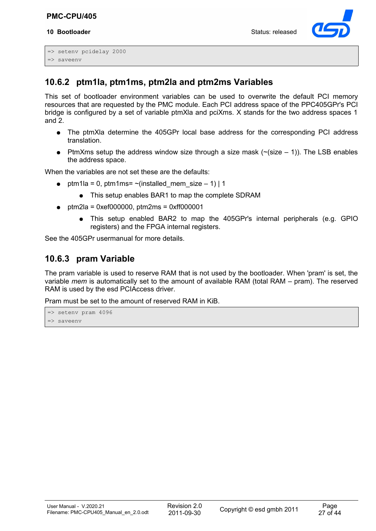#### **10 Bootloader** Status: released



```
=> setenv pcidelay 2000
=> saveenv
```
## **10.6.2 ptm1la, ptm1ms, ptm2la and ptm2ms Variables**

This set of bootloader environment variables can be used to overwrite the default PCI memory resources that are requested by the PMC module. Each PCI address space of the PPC405GPr's PCI bridge is configured by a set of variable ptmXla and pciXms. X stands for the two address spaces 1 and 2.

- The ptmXla determine the 405GPr local base address for the corresponding PCI address translation.
- PtmXms setup the address window size through a size mask  $(\sim$  (size  $-1)$ ). The LSB enables the address space.

When the variables are not set these are the defaults:

- $\bullet$  ptm1la = 0, ptm1ms= ~(installed mem size 1) | 1
	- This setup enables BAR1 to map the complete SDRAM
- $ptm2$ la = 0xef000000,  $ptm2$ ms = 0xff000001
	- This setup enabled BAR2 to map the 405GPr's internal peripherals (e.g. GPIO registers) and the FPGA internal registers.

See the 405GPr usermanual for more details.

### **10.6.3 pram Variable**

The pram variable is used to reserve RAM that is not used by the bootloader. When 'pram' is set, the variable *mem* is automatically set to the amount of available RAM (total RAM – pram). The reserved RAM is used by the esd PCIAccess driver.

Pram must be set to the amount of reserved RAM in KiB.

```
=> setenv pram 4096
=> saveenv
```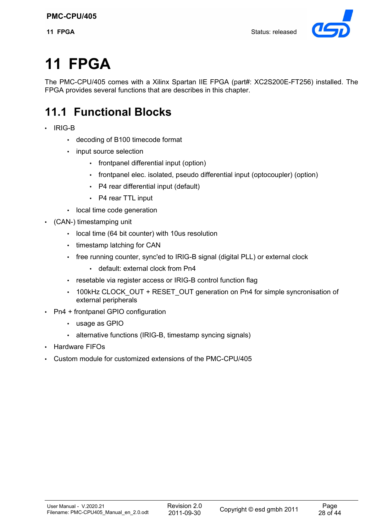

# **11 FPGA**

The PMC-CPU/405 comes with a Xilinx Spartan IIE FPGA (part#: XC2S200E-FT256) installed. The FPGA provides several functions that are describes in this chapter.

## **11.1 Functional Blocks**

- IRIG-B
	- decoding of B100 timecode format
	- input source selection
		- frontpanel differential input (option)
		- frontpanel elec. isolated, pseudo differential input (optocoupler) (option)
		- P4 rear differential input (default)
		- P4 rear TTL input
	- local time code generation
- (CAN-) timestamping unit
	- local time (64 bit counter) with 10us resolution
	- timestamp latching for CAN
	- free running counter, sync'ed to IRIG-B signal (digital PLL) or external clock
		- default: external clock from Pn4
	- resetable via register access or IRIG-B control function flag
	- 100kHz CLOCK\_OUT + RESET\_OUT generation on Pn4 for simple syncronisation of external peripherals
- Pn4 + frontpanel GPIO configuration
	- usage as GPIO
	- alternative functions (IRIG-B, timestamp syncing signals)
- Hardware FIFOs
- Custom module for customized extensions of the PMC-CPU/405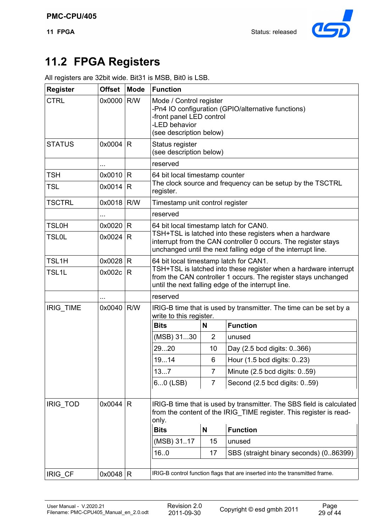

## **11.2 FPGA Registers**

|  | All registers are 32bit wide. Bit31 is MSB, Bit0 is LSB. |  |  |
|--|----------------------------------------------------------|--|--|
|  |                                                          |  |  |

| <b>Register</b> | <b>Offset</b> | <b>Mode</b> | <b>Function</b><br>Mode / Control register                                                                                                                                                |                |                                                                                                                                                                                          |  |  |  |  |  |  |  |  |  |  |  |
|-----------------|---------------|-------------|-------------------------------------------------------------------------------------------------------------------------------------------------------------------------------------------|----------------|------------------------------------------------------------------------------------------------------------------------------------------------------------------------------------------|--|--|--|--|--|--|--|--|--|--|--|
| <b>CTRL</b>     | 0x0000        | R/W         | -front panel LED control<br>-LED behavior<br>(see description below)                                                                                                                      |                | -Pn4 IO configuration (GPIO/alternative functions)                                                                                                                                       |  |  |  |  |  |  |  |  |  |  |  |
| <b>STATUS</b>   | 0x0004        | R           | Status register<br>(see description below)                                                                                                                                                |                |                                                                                                                                                                                          |  |  |  |  |  |  |  |  |  |  |  |
|                 |               |             | reserved                                                                                                                                                                                  |                |                                                                                                                                                                                          |  |  |  |  |  |  |  |  |  |  |  |
| <b>TSH</b>      | 0x0010        | R           | 64 bit local timestamp counter                                                                                                                                                            |                |                                                                                                                                                                                          |  |  |  |  |  |  |  |  |  |  |  |
| <b>TSL</b>      | 0x0014        | R           | The clock source and frequency can be setup by the TSCTRL<br>register.                                                                                                                    |                |                                                                                                                                                                                          |  |  |  |  |  |  |  |  |  |  |  |
| <b>TSCTRL</b>   | 0x0018 R/W    |             | Timestamp unit control register                                                                                                                                                           |                |                                                                                                                                                                                          |  |  |  |  |  |  |  |  |  |  |  |
|                 | $\cdots$      |             | reserved                                                                                                                                                                                  |                |                                                                                                                                                                                          |  |  |  |  |  |  |  |  |  |  |  |
| <b>TSL0H</b>    | 0x0020        | R           | 64 bit local timestamp latch for CAN0.                                                                                                                                                    |                |                                                                                                                                                                                          |  |  |  |  |  |  |  |  |  |  |  |
| <b>TSL0L</b>    | 0x0024        | R           | TSH+TSL is latched into these registers when a hardware<br>interrupt from the CAN controller 0 occurs. The register stays<br>unchanged until the next falling edge of the interrupt line. |                |                                                                                                                                                                                          |  |  |  |  |  |  |  |  |  |  |  |
| TSL1H           | 0x0028        | R           | 64 bit local timestamp latch for CAN1.                                                                                                                                                    |                |                                                                                                                                                                                          |  |  |  |  |  |  |  |  |  |  |  |
| TSL1L           | 0x002c        | R           |                                                                                                                                                                                           |                | TSH+TSL is latched into these register when a hardware interrupt<br>from the CAN controller 1 occurs. The register stays unchanged<br>until the next falling edge of the interrupt line. |  |  |  |  |  |  |  |  |  |  |  |
|                 |               |             | reserved                                                                                                                                                                                  |                |                                                                                                                                                                                          |  |  |  |  |  |  |  |  |  |  |  |
| IRIG_TIME       | 0x0040        | R/W         | write to this register.                                                                                                                                                                   |                | IRIG-B time that is used by transmitter. The time can be set by a                                                                                                                        |  |  |  |  |  |  |  |  |  |  |  |
|                 |               |             | <b>Bits</b>                                                                                                                                                                               | N              | <b>Function</b>                                                                                                                                                                          |  |  |  |  |  |  |  |  |  |  |  |
|                 |               |             | (MSB) 3130                                                                                                                                                                                | $\overline{2}$ | unused                                                                                                                                                                                   |  |  |  |  |  |  |  |  |  |  |  |
|                 |               |             | 2920                                                                                                                                                                                      | 10             | Day (2.5 bcd digits: 0366)                                                                                                                                                               |  |  |  |  |  |  |  |  |  |  |  |
|                 |               |             | 1914                                                                                                                                                                                      | 6              | Hour (1.5 bcd digits: 023)                                                                                                                                                               |  |  |  |  |  |  |  |  |  |  |  |
|                 |               |             | 137                                                                                                                                                                                       | $\overline{7}$ | Minute (2.5 bcd digits: 059)                                                                                                                                                             |  |  |  |  |  |  |  |  |  |  |  |
|                 |               |             | 60 (LSB)                                                                                                                                                                                  | $\overline{7}$ | Second (2.5 bcd digits: 059)                                                                                                                                                             |  |  |  |  |  |  |  |  |  |  |  |
| IRIG_TOD        | 0x0044        | R           | only.                                                                                                                                                                                     |                | IRIG-B time that is used by transmitter. The SBS field is calculated<br>from the content of the IRIG_TIME register. This register is read-                                               |  |  |  |  |  |  |  |  |  |  |  |
|                 |               |             | <b>Bits</b>                                                                                                                                                                               | N              | <b>Function</b>                                                                                                                                                                          |  |  |  |  |  |  |  |  |  |  |  |
|                 |               |             | (MSB) 3117                                                                                                                                                                                | 15             | unused                                                                                                                                                                                   |  |  |  |  |  |  |  |  |  |  |  |
|                 |               |             | 16.0<br>SBS (straight binary seconds) (0.86399)<br>17                                                                                                                                     |                |                                                                                                                                                                                          |  |  |  |  |  |  |  |  |  |  |  |
| IRIG_CF         | 0x0048   R    |             |                                                                                                                                                                                           |                | IRIG-B control function flags that are inserted into the transmitted frame.                                                                                                              |  |  |  |  |  |  |  |  |  |  |  |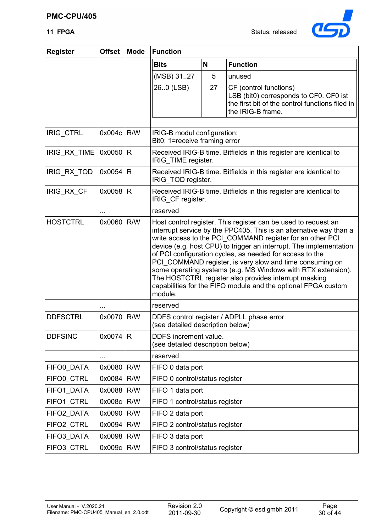

| <b>Register</b> | <b>Offset</b> | <b>Mode</b> | <b>Function</b>                                                                          |    |                                                                                                                                                                                                                                                                                                                                                                                                                                                                                                                                                                                           |  |  |  |  |  |  |  |  |
|-----------------|---------------|-------------|------------------------------------------------------------------------------------------|----|-------------------------------------------------------------------------------------------------------------------------------------------------------------------------------------------------------------------------------------------------------------------------------------------------------------------------------------------------------------------------------------------------------------------------------------------------------------------------------------------------------------------------------------------------------------------------------------------|--|--|--|--|--|--|--|--|
|                 |               |             | <b>Bits</b>                                                                              | N  | <b>Function</b>                                                                                                                                                                                                                                                                                                                                                                                                                                                                                                                                                                           |  |  |  |  |  |  |  |  |
|                 |               |             | (MSB) 3127                                                                               | 5  | unused                                                                                                                                                                                                                                                                                                                                                                                                                                                                                                                                                                                    |  |  |  |  |  |  |  |  |
|                 |               |             | 26.0 (LSB)                                                                               | 27 | CF (control functions)<br>LSB (bit0) corresponds to CF0. CF0 ist<br>the first bit of the control functions filed in<br>the IRIG-B frame.                                                                                                                                                                                                                                                                                                                                                                                                                                                  |  |  |  |  |  |  |  |  |
| IRIG_CTRL       | 0x004c        | R/W         | IRIG-B modul configuration:                                                              |    |                                                                                                                                                                                                                                                                                                                                                                                                                                                                                                                                                                                           |  |  |  |  |  |  |  |  |
|                 |               |             | Bit0: 1=receive framing error                                                            |    |                                                                                                                                                                                                                                                                                                                                                                                                                                                                                                                                                                                           |  |  |  |  |  |  |  |  |
| IRIG_RX_TIME    | 0x0050        | R           | Received IRIG-B time. Bitfields in this register are identical to<br>IRIG_TIME register. |    |                                                                                                                                                                                                                                                                                                                                                                                                                                                                                                                                                                                           |  |  |  |  |  |  |  |  |
| IRIG_RX_TOD     | 0x0054        | R           | Received IRIG-B time. Bitfields in this register are identical to<br>IRIG_TOD register.  |    |                                                                                                                                                                                                                                                                                                                                                                                                                                                                                                                                                                                           |  |  |  |  |  |  |  |  |
| IRIG_RX_CF      | $0x0058$ R    |             | Received IRIG-B time. Bitfields in this register are identical to<br>IRIG CF register.   |    |                                                                                                                                                                                                                                                                                                                                                                                                                                                                                                                                                                                           |  |  |  |  |  |  |  |  |
|                 | $\cdots$      |             | reserved                                                                                 |    |                                                                                                                                                                                                                                                                                                                                                                                                                                                                                                                                                                                           |  |  |  |  |  |  |  |  |
| <b>HOSTCTRL</b> | 0x0060        | R/W         | module.                                                                                  |    | Host control register. This register can be used to request an<br>interrupt service by the PPC405. This is an alternative way than a<br>write access to the PCI COMMAND register for an other PCI<br>device (e.g. host CPU) to trigger an interrupt. The implementation<br>of PCI configuration cycles, as needed for access to the<br>PCI_COMMAND register, is very slow and time consuming on<br>some operating systems (e.g. MS Windows with RTX extension).<br>The HOSTCTRL register also provides interrupt masking<br>capabilities for the FIFO module and the optional FPGA custom |  |  |  |  |  |  |  |  |
|                 |               |             | reserved                                                                                 |    |                                                                                                                                                                                                                                                                                                                                                                                                                                                                                                                                                                                           |  |  |  |  |  |  |  |  |
| <b>DDFSCTRL</b> | 0x0070        | R/W         | (see detailed description below)                                                         |    | DDFS control register / ADPLL phase error                                                                                                                                                                                                                                                                                                                                                                                                                                                                                                                                                 |  |  |  |  |  |  |  |  |
| <b>DDFSINC</b>  | 0x0074        | R           | DDFS increment value.<br>(see detailed description below)                                |    |                                                                                                                                                                                                                                                                                                                                                                                                                                                                                                                                                                                           |  |  |  |  |  |  |  |  |
|                 |               |             | reserved                                                                                 |    |                                                                                                                                                                                                                                                                                                                                                                                                                                                                                                                                                                                           |  |  |  |  |  |  |  |  |
| FIFO0_DATA      | 0x0080        | R/W         | FIFO 0 data port                                                                         |    |                                                                                                                                                                                                                                                                                                                                                                                                                                                                                                                                                                                           |  |  |  |  |  |  |  |  |
| FIFO0_CTRL      | 0x0084        | R/W         | FIFO 0 control/status register                                                           |    |                                                                                                                                                                                                                                                                                                                                                                                                                                                                                                                                                                                           |  |  |  |  |  |  |  |  |
| FIFO1_DATA      | 0x0088        | R/W         | FIFO 1 data port                                                                         |    |                                                                                                                                                                                                                                                                                                                                                                                                                                                                                                                                                                                           |  |  |  |  |  |  |  |  |
| FIFO1_CTRL      | 0x008c        | R/W         | FIFO 1 control/status register                                                           |    |                                                                                                                                                                                                                                                                                                                                                                                                                                                                                                                                                                                           |  |  |  |  |  |  |  |  |
| FIFO2_DATA      | 0x0090        | R/W         | FIFO 2 data port                                                                         |    |                                                                                                                                                                                                                                                                                                                                                                                                                                                                                                                                                                                           |  |  |  |  |  |  |  |  |
| FIFO2_CTRL      | 0x0094        | R/W         | FIFO 2 control/status register                                                           |    |                                                                                                                                                                                                                                                                                                                                                                                                                                                                                                                                                                                           |  |  |  |  |  |  |  |  |
| FIFO3_DATA      | 0x0098        | R/W         | FIFO 3 data port                                                                         |    |                                                                                                                                                                                                                                                                                                                                                                                                                                                                                                                                                                                           |  |  |  |  |  |  |  |  |
| FIFO3_CTRL      | 0x009c        | R/W         | FIFO 3 control/status register                                                           |    |                                                                                                                                                                                                                                                                                                                                                                                                                                                                                                                                                                                           |  |  |  |  |  |  |  |  |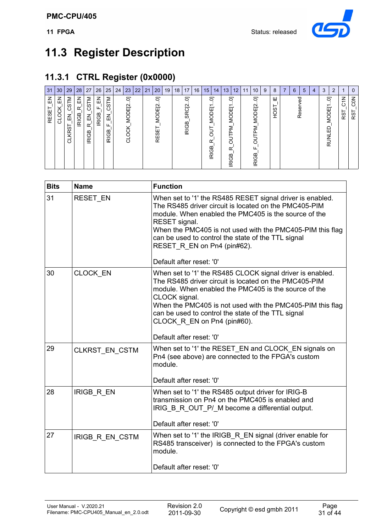

## **11.3 Register Description**

## **11.3.1 CTRL Register (0x0000)**

| 31                | 30 <sup>°</sup>  | 29                                             | 28                          | 27                                          | 26                     | 25                             | $24 \mid 23$                               | 22 | 21 | 20                                           | 19 | 18 <sup>1</sup> | 17<br>16                               |  | 15 <sub>1</sub>                            | 14 | 13                                                         | 12 | 11 | 10                                            | 9 | 8            | $\overline{ }$ | 6<br>ರ | 5 | $\overline{4}$ | 3                        | $\overline{2}$ |                             | 0                             |
|-------------------|------------------|------------------------------------------------|-----------------------------|---------------------------------------------|------------------------|--------------------------------|--------------------------------------------|----|----|----------------------------------------------|----|-----------------|----------------------------------------|--|--------------------------------------------|----|------------------------------------------------------------|----|----|-----------------------------------------------|---|--------------|----------------|--------|---|----------------|--------------------------|----------------|-----------------------------|-------------------------------|
| 룹<br><b>RESET</b> | 즚<br>క<br>O<br>ರ | <b>CSTM</b><br>즶<br>⊢<br>KRS <sup>-</sup><br>ದ | $\Xi$<br>Œ,<br><b>IRIGB</b> | CSTM<br>깊<br>$\alpha$<br>മ<br>$\Omega$<br>≅ | 즚<br>щ<br><b>IRIGB</b> | CSTM<br>즚<br>ட<br><b>IRIGB</b> | ត<br>MODE <sub>[2</sub><br><b>OCK</b><br>ರ |    |    | 5<br>$\overline{\mathsf{c}}$<br>MODE<br>RESE |    |                 | ត<br>SRC <sub>[2</sub><br><b>IRIGB</b> |  | ā<br>MODE[1<br>⊢<br>O<br>œ<br><b>IRIGB</b> |    | ਠ<br>MODE[1<br><b>IN</b><br>50<br>$\alpha$<br><b>IRIGB</b> |    |    | ā<br>MODE <sub>[2</sub><br>ΜĻ<br><b>IRIGB</b> |   | 쁘<br>8Ö<br>I |                | Reser  |   |                | ā<br>MODE[1<br>읎<br>RUNL | $\sim$         | $\frac{2}{5}$<br><b>RST</b> | 50 <sub>o</sub><br><b>RST</b> |

| <b>Bits</b> | <b>Name</b>           | <b>Function</b>                                                                                                                                                                                                                                                                                                                                                           |
|-------------|-----------------------|---------------------------------------------------------------------------------------------------------------------------------------------------------------------------------------------------------------------------------------------------------------------------------------------------------------------------------------------------------------------------|
| 31          | <b>RESET EN</b>       | When set to '1' the RS485 RESET signal driver is enabled.<br>The RS485 driver circuit is located on the PMC405-PIM<br>module. When enabled the PMC405 is the source of the<br>RESET signal.<br>When the PMC405 is not used with the PMC405-PIM this flag<br>can be used to control the state of the TTL signal<br>RESET R EN on Pn4 (pin#62).<br>Default after reset: '0' |
| 30          | <b>CLOCK EN</b>       | When set to '1' the RS485 CLOCK signal driver is enabled.<br>The RS485 driver circuit is located on the PMC405-PIM<br>module. When enabled the PMC405 is the source of the<br>CLOCK signal.<br>When the PMC405 is not used with the PMC405-PIM this flag<br>can be used to control the state of the TTL signal<br>CLOCK R EN on Pn4 (pin#60).<br>Default after reset: '0' |
| 29          | <b>CLKRST EN CSTM</b> | When set to '1' the RESET_EN and CLOCK_EN signals on<br>Pn4 (see above) are connected to the FPGA's custom<br>module.<br>Default after reset: '0'                                                                                                                                                                                                                         |
| 28          | IRIGB_R_EN            | When set to '1' the RS485 output driver for IRIG-B<br>transmission on Pn4 on the PMC405 is enabled and<br>IRIG B R OUT P/ M become a differential output.<br>Default after reset: '0'                                                                                                                                                                                     |
| 27          | IRIGB_R_EN_CSTM       | When set to '1' the IRIGB_R_EN signal (driver enable for<br>RS485 transceiver) is connected to the FPGA's custom<br>module.<br>Default after reset: '0'                                                                                                                                                                                                                   |
|             |                       |                                                                                                                                                                                                                                                                                                                                                                           |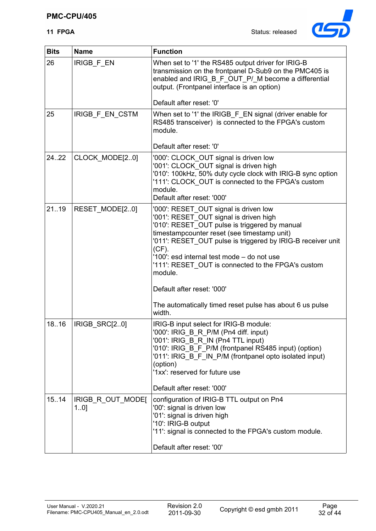

| <b>Bits</b> | <b>Name</b>              | <b>Function</b>                                                                                                                                                                                                                                                                                                                                                                                                                                                               |
|-------------|--------------------------|-------------------------------------------------------------------------------------------------------------------------------------------------------------------------------------------------------------------------------------------------------------------------------------------------------------------------------------------------------------------------------------------------------------------------------------------------------------------------------|
| 26          | IRIGB_F_EN               | When set to '1' the RS485 output driver for IRIG-B<br>transmission on the frontpanel D-Sub9 on the PMC405 is<br>enabled and IRIG_B_F_OUT_P/_M become a differential<br>output. (Frontpanel interface is an option)                                                                                                                                                                                                                                                            |
|             |                          | Default after reset: '0'                                                                                                                                                                                                                                                                                                                                                                                                                                                      |
| 25          | IRIGB_F_EN_CSTM          | When set to '1' the IRIGB_F_EN signal (driver enable for<br>RS485 transceiver) is connected to the FPGA's custom<br>module.                                                                                                                                                                                                                                                                                                                                                   |
|             |                          | Default after reset: '0'                                                                                                                                                                                                                                                                                                                                                                                                                                                      |
| 24.22       | CLOCK_MODE[20]           | '000': CLOCK_OUT signal is driven low<br>'001': CLOCK_OUT signal is driven high<br>'010': 100kHz, 50% duty cycle clock with IRIG-B sync option<br>'111': CLOCK OUT is connected to the FPGA's custom<br>module.<br>Default after reset: '000'                                                                                                                                                                                                                                 |
| 2119        | RESET_MODE[20]           | '000': RESET_OUT signal is driven low<br>'001': RESET_OUT signal is driven high<br>'010': RESET_OUT pulse is triggered by manual<br>timestampcounter reset (see timestamp unit)<br>'011': RESET_OUT pulse is triggered by IRIG-B receiver unit<br>$(CF)$ .<br>'100': esd internal test mode - do not use<br>'111': RESET_OUT is connected to the FPGA's custom<br>module.<br>Default after reset: '000'<br>The automatically timed reset pulse has about 6 us pulse<br>width. |
| 18.16       | IRIGB_SRC[20]            | IRIG-B input select for IRIG-B module:<br>'000': IRIG B R P/M (Pn4 diff. input)<br>'001': IRIG_B_R_IN (Pn4 TTL input)<br>'010': IRIG B F P/M (frontpanel RS485 input) (option)<br>'011': IRIG_B_F_IN_P/M (frontpanel opto isolated input)<br>(option)<br>'1xx': reserved for future use<br>Default after reset: '000'                                                                                                                                                         |
| 15.14       | IRIGB_R_OUT_MODE[<br>10] | configuration of IRIG-B TTL output on Pn4<br>'00': signal is driven low<br>'01': signal is driven high<br>'10': IRIG-B output<br>'11': signal is connected to the FPGA's custom module.<br>Default after reset: '00'                                                                                                                                                                                                                                                          |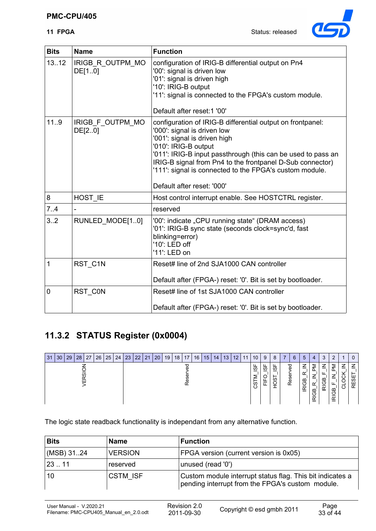#### **PMC-CPU/405**

**11 FPGA** Status: released



| <b>Bits</b>    | <b>Name</b>                | <b>Function</b>                                                                                                                                                                                                                                                                                                                                                         |
|----------------|----------------------------|-------------------------------------------------------------------------------------------------------------------------------------------------------------------------------------------------------------------------------------------------------------------------------------------------------------------------------------------------------------------------|
| 1312           | IRIGB_R_OUTPM_MO<br>DE[10] | configuration of IRIG-B differential output on Pn4<br>'00': signal is driven low<br>'01': signal is driven high<br>'10': IRIG-B output<br>'11': signal is connected to the FPGA's custom module.<br>Default after reset: 1 '00'                                                                                                                                         |
| 119            | IRIGB F OUTPM MO<br>DE[20] | configuration of IRIG-B differential output on frontpanel:<br>'000': signal is driven low<br>'001': signal is driven high<br>'010': IRIG-B output<br>'011': IRIG-B input passthrough (this can be used to pass an<br>IRIG-B signal from Pn4 to the frontpanel D-Sub connector)<br>'111': signal is connected to the FPGA's custom module.<br>Default after reset: '000' |
| 8              | HOST IE                    | Host control interrupt enable. See HOSTCTRL register.                                                                                                                                                                                                                                                                                                                   |
| 7.4            |                            | reserved                                                                                                                                                                                                                                                                                                                                                                |
| 3.2            | RUNLED_MODE[10]            | '00': indicate "CPU running state" (DRAM access)<br>'01': IRIG-B sync state (seconds clock=sync'd, fast<br>blinking=error)<br>'10': LED off<br>'11': LED on                                                                                                                                                                                                             |
| 1              | RST C1N                    | Reset# line of 2nd SJA1000 CAN controller<br>Default after (FPGA-) reset: '0'. Bit is set by bootloader.                                                                                                                                                                                                                                                                |
| $\overline{0}$ | RST_C0N                    | Reset# line of 1st SJA1000 CAN controller                                                                                                                                                                                                                                                                                                                               |
|                |                            | Default after (FPGA-) reset: '0'. Bit is set by bootloader.                                                                                                                                                                                                                                                                                                             |

## **11.3.2 STATUS Register (0x0004)**

| 31 | 30 | 29 | 28 | 27 | 26 | 25 | 24 | 23 | 22 21 | $ 20\rangle$ | 19 | 18 <sup>1</sup> | 17 | 16 | 15 14 | 13 | 12 | 11 | 10            | 9      | -8     | -6          | 5               | 4                                         | 3           |        |                         |             |
|----|----|----|----|----|----|----|----|----|-------|--------------|----|-----------------|----|----|-------|----|----|----|---------------|--------|--------|-------------|-----------------|-------------------------------------------|-------------|--------|-------------------------|-------------|
|    |    |    |    |    |    |    |    |    |       |              |    |                 |    |    |       |    |    |    | ட<br>ဖ<br>ပ္ပ | စ<br>– | ၯ<br>ഗ | 59<br>Reser | മ<br>$\epsilon$ | ⋝<br>⇁<br>Y<br>$\mathbf{a}$<br><b>DIR</b> | z<br>O<br>₫ | 5<br>≃ | ⇁<br>$\overline{\circ}$ | 7<br>w<br>œ |

The logic state readback functionality is independant from any alternative function.

| <b>Bits</b> | <b>Name</b>     | <b>Function</b>                                                                                               |
|-------------|-----------------|---------------------------------------------------------------------------------------------------------------|
| (MSB) 3124  | <b>VERSION</b>  | FPGA version (current version is 0x05)                                                                        |
| 2311        | reserved        | unused (read '0')                                                                                             |
| 10          | <b>CSTM ISF</b> | Custom module interrupt status flag. This bit indicates a<br>pending interrupt from the FPGA's custom module. |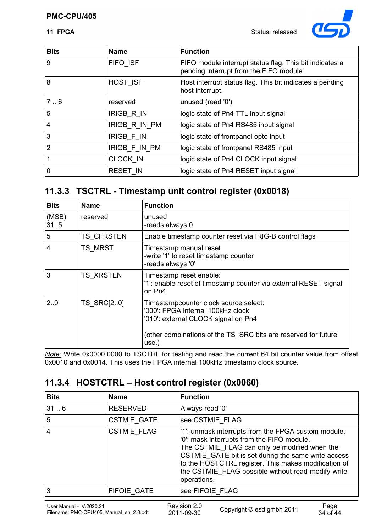

| <b>Bits</b>    | <b>Name</b>       | <b>Function</b>                                                                                    |
|----------------|-------------------|----------------------------------------------------------------------------------------------------|
| 9              | FIFO ISF          | FIFO module interrupt status flag. This bit indicates a<br>pending interrupt from the FIFO module. |
| 8              | HOST ISF          | Host interrupt status flag. This bit indicates a pending<br>host interrupt.                        |
| 7.6            | reserved          | unused (read '0')                                                                                  |
| 5              | <b>IRIGB R IN</b> | logic state of Pn4 TTL input signal                                                                |
| $\overline{4}$ | IRIGB R IN PM     | logic state of Pn4 RS485 input signal                                                              |
| Ι3             | <b>IRIGB F IN</b> | logic state of frontpanel opto input                                                               |
| 2              | IRIGB F IN PM     | logic state of frontpanel RS485 input                                                              |
|                | <b>CLOCK IN</b>   | logic state of Pn4 CLOCK input signal                                                              |
| $\mathbf 0$    | <b>RESET IN</b>   | logic state of Pn4 RESET input signal                                                              |

## **11.3.3 TSCTRL - Timestamp unit control register (0x0018)**

| <b>Bits</b>    | <b>Name</b>       | <b>Function</b>                                                                                                                                                                              |
|----------------|-------------------|----------------------------------------------------------------------------------------------------------------------------------------------------------------------------------------------|
| (MSB)<br>31.5  | reserved          | unused<br>-reads always 0                                                                                                                                                                    |
| 5              | <b>TS CFRSTEN</b> | Enable timestamp counter reset via IRIG-B control flags                                                                                                                                      |
| $\overline{4}$ | TS_MRST           | Timestamp manual reset<br>-write '1' to reset timestamp counter<br>-reads always '0'                                                                                                         |
| 3              | <b>TS XRSTEN</b>  | Timestamp reset enable:<br>'1': enable reset of timestamp counter via external RESET signal<br>on Pn4                                                                                        |
| 20             | TS_SRC[20]        | Timestampcounter clock source select:<br>'000': FPGA internal 100kHz clock<br>'010': external CLOCK signal on Pn4<br>(other combinations of the TS_SRC bits are reserved for future<br>use.) |

*Note:* Write 0x0000.0000 to TSCTRL for testing and read the current 64 bit counter value from offset 0x0010 and 0x0014. This uses the FPGA internal 100kHz timestamp clock source.

## **11.3.4 HOSTCTRL – Host control register (0x0060)**

| <b>Bits</b> | <b>Name</b>        | <b>Function</b>                                                                                                                                                                                                                                                                                                                        |
|-------------|--------------------|----------------------------------------------------------------------------------------------------------------------------------------------------------------------------------------------------------------------------------------------------------------------------------------------------------------------------------------|
| 316         | <b>RESERVED</b>    | Always read '0'                                                                                                                                                                                                                                                                                                                        |
| 5           | <b>CSTMIE GATE</b> | see CSTMIE FLAG                                                                                                                                                                                                                                                                                                                        |
| 4           | <b>CSTMIE FLAG</b> | '1': unmask interrupts from the FPGA custom module.<br>'0': mask interrupts from the FIFO module.<br>The CSTMIE FLAG can only be modified when the<br>CSTMIE GATE bit is set during the same write access<br>to the HOSTCTRL register. This makes modification of<br>the CSTMIE FLAG possible without read-modify-write<br>operations. |
| 3           | <b>FIFOIE GATE</b> | see FIFOIE FLAG                                                                                                                                                                                                                                                                                                                        |
|             |                    |                                                                                                                                                                                                                                                                                                                                        |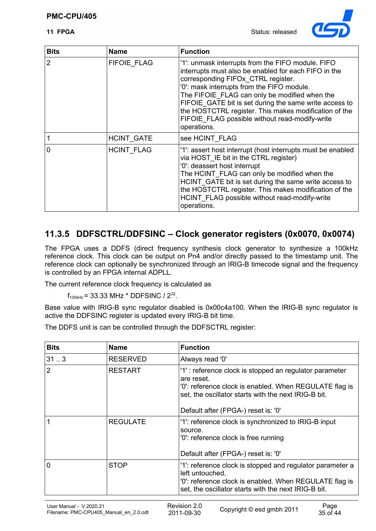

| <b>Bits</b>    | <b>Name</b>        | <b>Function</b>                                                                                                                                                                                                                                                                                                                                                                                                                    |
|----------------|--------------------|------------------------------------------------------------------------------------------------------------------------------------------------------------------------------------------------------------------------------------------------------------------------------------------------------------------------------------------------------------------------------------------------------------------------------------|
| $\overline{2}$ | <b>FIFOIE FLAG</b> | '1': unmask interrupts from the FIFO module. FIFO<br>interrupts must also be enabled for each FIFO in the<br>corresponding FIFOx CTRL register.<br>'0': mask interrupts from the FIFO module.<br>The FIFOIE FLAG can only be modified when the<br>FIFOIE GATE bit is set during the same write access to<br>the HOSTCTRL register. This makes modification of the<br>FIFOIE FLAG possible without read-modify-write<br>operations. |
|                | HCINT_GATE         | see HCINT FLAG                                                                                                                                                                                                                                                                                                                                                                                                                     |
| $\overline{0}$ | <b>HCINT FLAG</b>  | '1': assert host interrupt (host interrupts must be enabled<br>via HOST IE bit in the CTRL register)<br>'0': deassert host interrupt<br>The HCINT_FLAG can only be modified when the<br>HCINT GATE bit is set during the same write access to<br>the HOSTCTRL register. This makes modification of the<br>HCINT FLAG possible without read-modify-write<br>operations.                                                             |

## **11.3.5 DDFSCTRL/DDFSINC – Clock generator registers (0x0070, 0x0074)**

The FPGA uses a DDFS (direct frequency synthesis clock generator to synthesize a 100kHz reference clock. This clock can be output on Pn4 and/or directly passed to the timestamp unit. The reference clock can optionally be synchronized through an IRIG-B timecode signal and the frequency is controlled by an FPGA internal ADPLL.

The current reference clock frequency is calculated as

 $f_{100kHz}$  = 33.33 MHz \* DDFSINC / 2<sup>32</sup>.

Base value with IRIG-B sync regulator disabled is 0x00c4a100. When the IRIG-B sync regulator is active the DDFSINC register is updated every IRIG-B bit time.

The DDFS unit is can be controlled through the DDFSCTRL register:

| <b>Bits</b>    | <b>Name</b>     | <b>Function</b>                                                                                                                                                                                                               |  |
|----------------|-----------------|-------------------------------------------------------------------------------------------------------------------------------------------------------------------------------------------------------------------------------|--|
| 313            | <b>RESERVED</b> | Always read '0'                                                                                                                                                                                                               |  |
| $\overline{2}$ | <b>RESTART</b>  | '1': reference clock is stopped an regulator parameter<br>are reset.<br>'0': reference clock is enabled. When REGULATE flag is<br>set, the oscillator starts with the next IRIG-B bit.<br>Default after (FPGA-) reset is: '0' |  |
|                | <b>REGULATE</b> | '1': reference clock is synchronized to IRIG-B input<br>source.<br>'0': reference clock is free running<br>Default after (FPGA-) reset is: '0'                                                                                |  |
| $\mathbf 0$    | <b>STOP</b>     | '1': reference clock is stopped and regulator parameter a<br>left untouched.<br>'0': reference clock is enabled. When REGULATE flag is<br>set, the oscillator starts with the next IRIG-B bit.                                |  |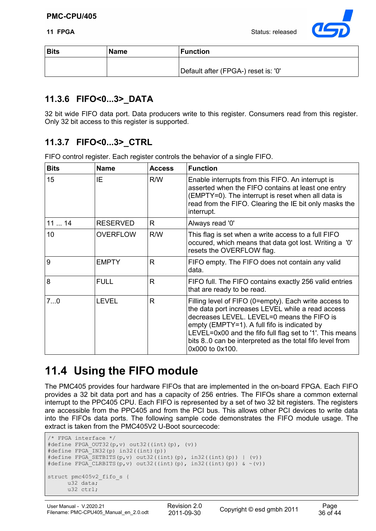

| <b>Bits</b> | <b>Name</b> | <b>Function</b>                     |
|-------------|-------------|-------------------------------------|
|             |             | Default after (FPGA-) reset is: '0' |

## **11.3.6 FIFO<0...3>\_DATA**

32 bit wide FIFO data port. Data producers write to this register. Consumers read from this register. Only 32 bit access to this register is supported.

## **11.3.7 FIFO<0...3>\_CTRL**

FIFO control register. Each register controls the behavior of a single FIFO.

| <b>Bits</b> | <b>Name</b>     | <b>Access</b> | <b>Function</b>                                                                                                                                                                                                                                                                                                                                    |
|-------------|-----------------|---------------|----------------------------------------------------------------------------------------------------------------------------------------------------------------------------------------------------------------------------------------------------------------------------------------------------------------------------------------------------|
| 15          | IE.             | R/W           | Enable interrupts from this FIFO. An interrupt is<br>asserted when the FIFO contains at least one entry<br>(EMPTY=0). The interrupt is reset when all data is<br>read from the FIFO. Clearing the IE bit only masks the<br>interrupt.                                                                                                              |
| 1114        | <b>RESERVED</b> | R             | Always read '0'                                                                                                                                                                                                                                                                                                                                    |
| 10          | <b>OVERFLOW</b> | R/W           | This flag is set when a write access to a full FIFO<br>occured, which means that data got lost. Writing a '0'<br>resets the OVERFLOW flag.                                                                                                                                                                                                         |
| 9           | <b>EMPTY</b>    | R             | FIFO empty. The FIFO does not contain any valid<br>data.                                                                                                                                                                                                                                                                                           |
| 8           | <b>FULL</b>     | R             | FIFO full. The FIFO contains exactly 256 valid entries<br>that are ready to be read.                                                                                                                                                                                                                                                               |
| 70          | <b>LEVEL</b>    | R             | Filling level of FIFO (0=empty). Each write access to<br>the data port increases LEVEL while a read access<br>decreases LEVEL. LEVEL=0 means the FIFO is<br>empty (EMPTY=1). A full fifo is indicated by<br>LEVEL=0x00 and the fifo full flag set to '1'. This means<br>bits 80 can be interpreted as the total fifo level from<br>0x000 to 0x100. |

## **11.4 Using the FIFO module**

The PMC405 provides four hardware FIFOs that are implemented in the on-board FPGA. Each FIFO provides a 32 bit data port and has a capacity of 256 entries. The FIFOs share a common external interrupt to the PPC405 CPU. Each FIFO is represented by a set of two 32 bit registers. The registers are accessible from the PPC405 and from the PCI bus. This allows other PCI devices to write data into the FIFOs data ports. The following sample code demonstrates the FIFO module usage. The extract is taken from the PMC405V2 U-Boot sourcecode:

```
/* FPGA interface */
#define FPGA_OUT32(p,v) out32((int)(p), (v))
#define FPGA_IN32(p) in32((int)(p))
\# \text{define FPGA\_SETBITS}(p, v) \text{ out32}((int)(p), in32((int)(p)) | (v))#define FPGA_CLRBITS(p,v) out32((int)(p), in32((int)(p)) & \sim(v))
struct pmc405v2_fifo_s {
      u32 data;
      u32 ctrl;
```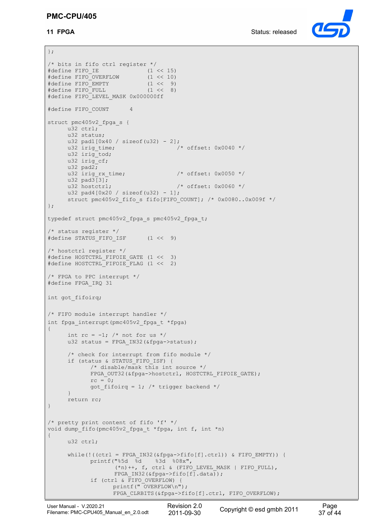#### **PMC-CPU/405**



```
};
/* bits in fifo ctrl register */<br>#define FIFO IE (1 << 15)
#define FIFO_IE (1 << 15)
#define FIFO_OVERFLOW (1 << 10)
#define FIFO_EMPTY
#define FIFO_FULL (1 << 8)
#define FIFO_LEVEL_MASK 0x000000ff
#define FIFO_COUNT 4
struct pmc405v2_fpga_s {
    u32 ctrl;
     u32 status;
     u32 pad1[0x40 / sizeof(u32) - 2];<br>u32 irig time;
                                      \frac{1}{2} offset: 0x0040 */
     u32 irig tod;
     u32 irig cf;
     u32 pad2;u32 irig_rx_time; \frac{1}{2} /* offset: 0x0050 */
     u32 pad3[3];<br>u32 hostctrl;
                                      /* offset: 0x0060 */
     u32 pad4[0x20 / sizeof( u32) - 1];struct pmc405v2 fifo s fifo[FIFO COUNT]; /* 0x0080..0x009f */
};
typedef struct pmc405v2_fpga_s pmc405v2_fpga_t;
/* status register */
#define STATUS_FIFO_ISF (1 << 9)
/* hostctrl register */
#define HOSTCTRL_FIFOIE_GATE (1 << 3)
#define HOSTCTRL_FIFOIE_FLAG (1 << 2)
/* FPGA to PPC interrupt */
#define FPGA_IRQ 31
int got_fifoirq;
/* FIFO module interrupt handler */
int fpga interrupt(pmc405v2 fpga t *fpga)
{
     int rc = -1; /* not for us */
     u32 status = FPGA IN32(&fpga->status);
      /* check for interrupt from fifo module */
     if (status & STATUS_FIFO_ISF) {
            /* disable/mask this int source */
            FPGA_OUT32(&fpga->hostctrl, HOSTCTRL_FIFOIE_GATE); 
            rc = 0;got fifoirq = 1; /* trigger backend */
     }
     return rc;
}
/* pretty print content of fifo 'f' */
void dump_fifo(pmc405v2_fpga_t *fpga, int f, int *n)
{
     u32 ctrl;
     while(!((ctrl = FPGA_IN32(\&fpga->fifo[f].ctrl)) & FIFO EMPTY)) {
            printf("%5d %d %3d %08x", 
                    (*n)++, f, ctrl & (FIFO LEVEL MASK | FIFO FULL),
                   FPGA IN32(&fpga->fifo[f].data));
            if (ctrl & FIFO_OVERFLOW) {
                  printf(" OVERFLOW\n");
                   FPGA_CLRBITS(&fpga->fifo[f].ctrl, FIFO_OVERFLOW);
```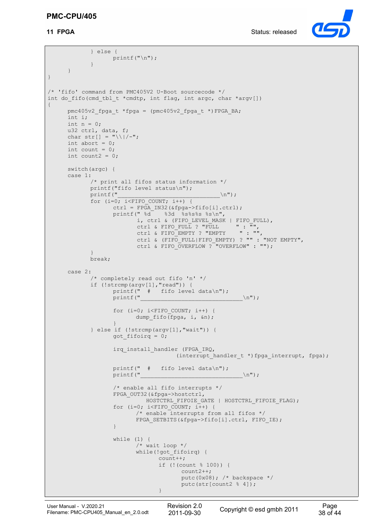#### **PMC-CPU/405**



```
} else {
                  printf("n");
            }
     }
}
/* 'fifo' command from PMC405V2 U-Boot sourcecode */
int do fifo(cmd tbl t *cmdtp, int flag, int argc, char *argv[])
{
     pmc405v2 fpga t *fpga = (pmc405v2 fpga t *)FPGA BA;
     int i;
     int n = 0;
     u32 ctrl, data, f;
     char str[] = "\wedge|/-",int abort = 0;
     int count = 0;
     int count2 = 0;switch(argc) {
     case 1:
            /* print all fifos status information */
            printf("fifo level status\n");
            printf("\ln");
            for (i=0; i<FIFO COUNT; i++) {
                  ctrl = FPGA_IN32(&fpga->fifo[i].ctrl);
                  printf(" \frac{1}{3d} \frac{1}{3d} \frac{1}{3s} \frac{1}{3s} \frac{1}{3s} \frac{1}{3s}i, ctrl & (FIFO LEVEL MASK | FIFO FULL),
                    ctrl & FIFO_FULL ? "FULL " : "",
                   ctrl & FIFO_EMPTY ? "EMPTY " : "",
                          ctrl & (FIFO_FULL|FIFO_EMPTY) ? "" : "NOT EMPTY",
                         ctrl & FIFO OVERFLOW ? "OVERFLOW" : "");
            }
            break;
     case 2:
            /* completely read out fifo 'n' */
            if (!strcmp(argv[1],"read")) {
                  printf(" # fifo level data\n");
                  printf("\ln");
                   for (i=0; i < FIFO COUNT; i++) {
                        dump fifo(fpga, i, &n);
                  }
            } else if (!strcmp(argv[1],"wait")) {
                  got_fifoirq = 0;
                  irq install handler (FPGA IRQ,
                                      (interrupt_handler_t *)fpga_interrupt, fpga);
                  printf(" # fifo level data\n");
                  printf("\sqrt{n}");
                   /* enable all fifo interrupts */
                  FPGA_OUT32(&fpga->hostctrl, 
                            HOSTCTRL FIFOIE GATE | HOSTCTRL FIFOIE FLAG);
                   for (i=0; i<FIFO COUNT; i++) {
                         /* enable interrupts from all fifos */
                         FPGA_SETBITS(&fpga->fifo[i].ctrl, FIFO_IE);
                   }
                  while (1) {
                         /* wait loop */
                         while(!got_fifoirq) {
                                count++;if (!(count % 100)) {
                                      count2++;
                                      putc(0x08); /* backspace */putc(str[count2 % 4]);
                                }
```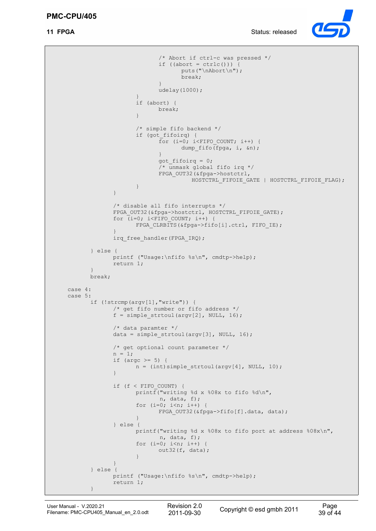

```
/* Abort if ctrl-c was pressed */
                            if ((abort = ctrl(c())) {
                                   puts("\nAbort\n");
                                   break;
                            }
                            udelay(1000);
                     }
                     if (abort) {
                            break;
                     }
                     /* simple fifo backend */
                     if (got_fifoirq) {
                            For (i=0; i<FIFO COUNT; i++) {
                                   dump fifo(fpga, i, &n);
                            }
                            got_fifoirq = 0;
                            /* unmask global fifo irq */
                            FPGA_OUT32(&fpga->hostctrl, 
                                      HOSTCTRL_FIFOIE_GATE | HOSTCTRL_FIFOIE_FLAG);
                     }
              }
              /* disable all fifo interrupts */
              FPGA_OUT32(&fpga->hostctrl, HOSTCTRL_FIFOIE_GATE);
              for (i=0; i <b>FFIFO COUNT; i++)</b>FPGA_CLRBITS(&fpga->fifo[i].ctrl, FIFO_IE);
              }
              irq free handler(FPGA IRQ);
       } else {
              printf ("Usage:\nfifo %s\n", cmdtp->help);
              return 1;
       }
       break;
case 4:
case 5:
       if (!strcmp(argv[1],"write")) {
              /* get fifo number or fifo address */
              f = simple strtoul(argv[2], NULL, 16);
              /* data paramter */
              data = simple strtoul(argv[3], NULL, 16);
              /* get optional count parameter */
              n = 1;if (argc >= 5) {
                    n = (int) simple strtoul(argv[4], NULL, 10);
              }
              if (f < FIFO_COUNT) {
                     printf("writing %d x %08x to fifo %d\n",
                             n, data, f);
                     for (i=0; i \le n; i++) {
                            FPGA OUT32(&fpga->fifo[f].data, data);
                     }
              } else {
                    printf("writing %d x %08x to fifo port at address %08x\n", 
                             n, data, f);
                     for (i=0; i\leq n; i++)out32(f, data);
                     }
              }
       } else {
             printf ("Usage:\nfifo %s\n", cmdtp->help);
             return 1;
       }
```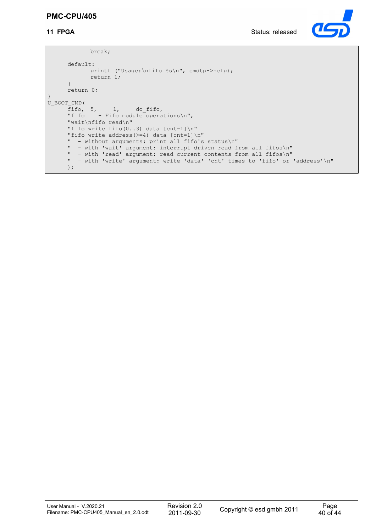#### **PMC-CPU/405**



```
break;
     default:
            printf ("Usage:\nfifo %s\n", cmdtp->help);
            return 1;
     }
     return 0;
}
U_BOOT_CMD(
      fifo, 5, 1, do_fifo,
      "fifo - Fifo module operations\n",
     "wait\nfifo read\n"
     "fifo write fifo(0..3) data [cnt=1]\n"
      "fifo write address(>=4) data [cnt=1]\n"
      " - without arguments: print all fifo's status\n"
      " - with 'wait' argument: interrupt driven read from all fifos\n"
     " - with 'read' argument: read current contents from all fifos\n"
     " - with 'write' argument: write 'data' 'cnt' times to 'fifo' or 'address'\n"
     );
```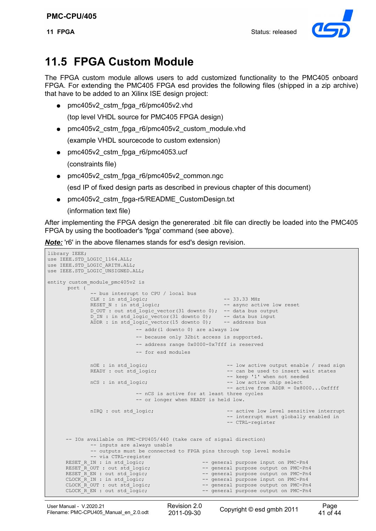

## **11.5 FPGA Custom Module**

The FPGA custom module allows users to add customized functionality to the PMC405 onboard FPGA. For extending the PMC405 FPGA esd provides the following files (shipped in a zip archive) that have to be added to an Xilinx ISE design project:

• pmc405v2 cstm\_fpga\_r6/pmc405v2.vhd

(top level VHDL source for PMC405 FPGA design)

- pmc405v2\_cstm\_fpga\_r6/pmc405v2\_custom\_module.vhd (example VHDL sourcecode to custom extension)
- pmc405v2 cstm\_fpga\_r6/pmc4053.ucf (constraints file)
- pmc405v2 cstm\_fpga\_r6/pmc405v2\_common.ngc

(esd IP of fixed design parts as described in previous chapter of this document)

● pmc405v2\_cstm\_fpga-r5/README\_CustomDesign.txt

(information text file)

After implementing the FPGA design the genererated .bit file can directly be loaded into the PMC405 FPGA by using the bootloader's 'fpga' command (see above).

*Note:* 'r<sub>6</sub>' in the above filenames stands for esd's design revision.

```
library IEEE;
use IEEE.STD_LOGIC_1164.ALL;
use IEEE.STD_LOGIC_ARITH.ALL;
use IEEE.STD_LOGIC_UNSIGNED.ALL;
entity custom_module_pmc405v2 is
      port (
               -- bus interrupt to CPU / local bus
               CLK : in std_logic; -33.33 \text{ MHz}<br>RESET N : in std logic: -33.33 \text{ MHz}RESET N : in std logic;
               D OUT: out std logic vector(31 downto 0); -- data bus output
               D IN : in std logic vector(31 downto 0); -- data bus input
               ADDR : in std logic vector(15 downto 0); -- address bus
                                 - addr(1 downto 0) are always low
                                -- because only 32bit access is supported.
                                -- address range 0x0000-0x7fff is reserved
                                -- for esd modules
               nOE : in std logic; - low active output enable / read sign
               READY : out std logic; - can be used to insert wait states
                -- keep '1' when not needed
                                                                 -- low active chip select
                                                                 -- active from ADDR = 0x8000...0xfft-- nCS is active for at least three cycles
                                -- or longer when READY is held low.
               nIRQ : out std logic; - active low level sensitive interrupt
                                                                  -- interrupt must globally enabled in 
                                                                 -- CTRL-register
       -- IOs available on PMC-CPU405/440 (take care of signal direction)
               -- inputs are always usable
               -- outputs must be connected to FPGA pins through top level module
      -- via CTRL-register<br>RESET R IN : in std logic;
      RESET_R_IN : in std_logic; --- -- general purpose input on PMC-Pn4<br>RESET_R_OUT : out std_logic; --- -- general purpose output on PMC-Pn
                                                        -- general purpose output on PMC-Pn4
      RESET \overline{R} EN : out std \overline{\text{logic}}; - general purpose output on PMC-Pn4 CLOCK \overline{R} IN : in std \overline{\text{logic}}; - general purpose input on PMC-Pn4
      CLOCK_R^TR^TN : in std_logic; - general purpose input on PMC-Pn4<br>CLOCK ROUT : out std logic; - general purpose output on PMC-Pn
      CLOCK_R_OUT : out std_logic; -- general purpose output on PMC-Pn4<br>CLOCK_R_EN : out std_logic; -- general purpose output on PMC-Pn4
                                                        -- general purpose output on PMC-Pn4
```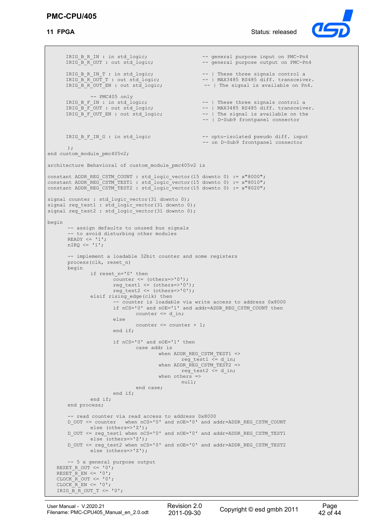

IRIG\_B\_R\_IN : in std\_logic; --- general purpose input on PMC-Pn4<br>IRIG\_B\_R\_OUT : out std logic; --- general purpose output on PMC-Pn -- general purpose output on PMC-Pn4 IRIG B R IN T : in std logic; --- -- | These three signals control a IRIG\_B\_R\_OUT\_T : out std\_logic; --- -- | MAX3485 RS485 diff. transceiver. IRIG\_B\_R\_OUT\_EN : out std\_logic;  $- - |$  The signal is available on Pn4. -- PMC405 only<br>IRIG\_B\_F\_IN : in std\_logic;<br>IRIG\_B\_F\_OUT : out std\_logic; -- | These three signals control a IRIG  $\overline{B}$   $\overline{F}$  OUT : out std\_logic;  $\overline{F}$  -- | MAX3485 RS485 diff. transceiver.<br>IRIG  $\overline{B}$   $\overline{F}$  OUT EN : out std logic;  $\overline{F}$  -- | The signal is available on the IRIG B F OUT EN : out std logic; --- | The signal is available on the -- | D-Sub9 frontpanel connector IRIG B F IN G : in std logic -- opto-isolated pseudo diff. input -- on D-Sub9 frontpanel connector ); end custom module pmc405v2; architecture Behavioral of custom\_module\_pmc405v2 is constant ADDR REG CSTM COUNT : std logic vector(15 downto 0) := x"8000"; constant ADDR\_REG\_CSTM\_TEST1 : std\_logic\_vector(15 downto 0) := x"8010"; constant ADDR\_REG\_CSTM\_TEST2 : std\_logic\_vector(15 downto 0) := x"8020"; signal counter : std logic vector(31 downto 0); signal reg\_test1 : std\_logic\_vector(31 downto 0); signal reg\_test2 : std\_logic\_vector(31 downto 0); begin -- assign defaults to unused bus signals -- to avoid disturbing other modules READY  $\leq -1$ ';  $nIRQ \leq 1$ ; -- implement a loadable 32bit counter and some registers process(clk, reset\_n) begin if reset n='0' then  $\bar{\text{counter}} \leq (\text{others}>>'0')$ ; reg\_test1 <=  $(others='0');$ reg\_test2 <=  $(\text{others}$  ->'0'); elsif rising\_edge(clk) then -- counter is loadable via write access to address 0x8000 if  $nCS = 0$ ' and  $nOE = 1$ ' and addr=ADDR REG CSTM COUNT then  $counter \leq d$  in; else counter <= counter + 1; end if; if nCS='0' and nOE='1' then case addr is when ADDR REG CSTM TEST1 => reg test1  $\leq$  d in; when ADDR REG CSTM TEST2  $\Rightarrow$ reg test2  $\leq$  d in; when others  $=$ > null; end case; end if; end if; end process; -- read counter via read access to address 0x8000 D\_OUT <= counter when nCS='0' and nOE='0' and addr=ADDR\_REG\_CSTM\_COUNT else (others=>'Z'); D\_OUT <= reg\_test1 when nCS='0' and nOE='0' and addr=ADDR\_REG\_CSTM\_TEST1 else (others=>'Z'); D\_OUT <= reg\_test2 when nCS='0' and nOE='0' and addr=ADDR REG CSTM\_TEST2 else (others=>'Z'); -- 5 x general purpose output RESET R OUT  $\leq$  '0';  $REST-REN \leq '0';$  $CLOCK_ROUT \leq 0';$ CLOCK $R$  $EN$   $\leq$   $'0$ ; IRIG B R OUT  $T \leq 0$ ';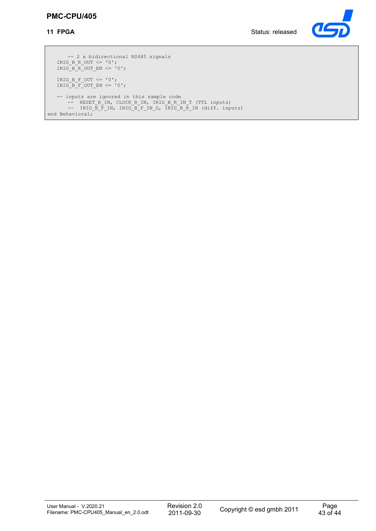#### **PMC-CPU/405**

**11 FPGA** Status: released



-- 2 x bidirectional RS485 signals IRIG B R OUT  $\leq$  '0'; IRIG B R OUT EN  $\leq$  '0'; IRIG B F OUT  $\leq$  '0'; IRIG B F OUT EN  $<=$  '0'; -- inputs are ignored in this sample code -- RESET R IN, CLOCK R IN, IRIG B R IN T (TTL inputs) -- IRIG B F IN, IRIG B F IN G, IRIG B R IN (diff. inputs) end Behavioral;